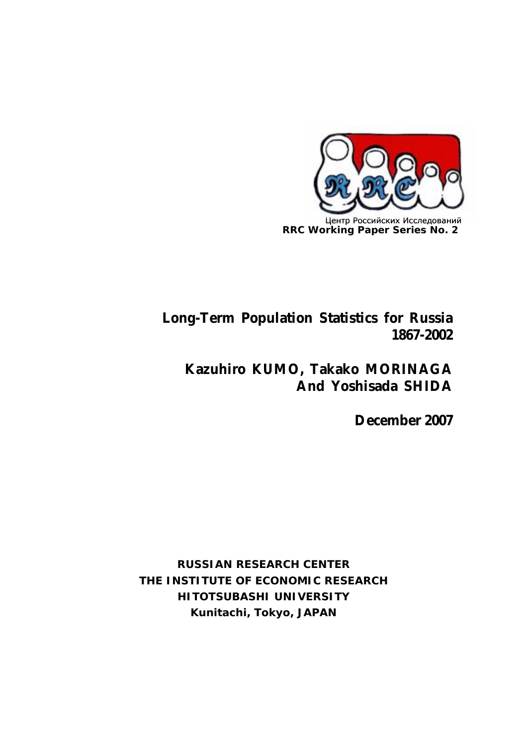

# **Long-Term Population Statistics for Russia 1867-2002**

# **Kazuhiro KUMO, Takako MORINAGA And Yoshisada SHIDA**

**December 2007**

**RUSSIAN RESEARCH CENTER THE INSTITUTE OF ECONOMIC RESEARCH HITOTSUBASHI UNIVERSITY Kunitachi, Tokyo, JAPAN**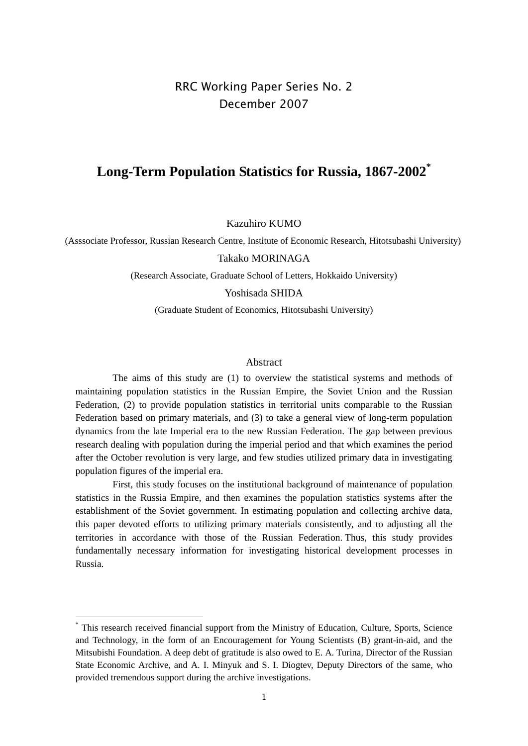## RRC Working Paper Series No. 2 December 2007

## **Long-Term Population Statistics for Russia, 1867-2002\***

Kazuhiro KUMO

(Asssociate Professor, Russian Research Centre, Institute of Economic Research, Hitotsubashi University)

Takako MORINAGA

(Research Associate, Graduate School of Letters, Hokkaido University)

Yoshisada SHIDA

(Graduate Student of Economics, Hitotsubashi University)

## Abstract

 The aims of this study are (1) to overview the statistical systems and methods of maintaining population statistics in the Russian Empire, the Soviet Union and the Russian Federation, (2) to provide population statistics in territorial units comparable to the Russian Federation based on primary materials, and (3) to take a general view of long-term population dynamics from the late Imperial era to the new Russian Federation. The gap between previous research dealing with population during the imperial period and that which examines the period after the October revolution is very large, and few studies utilized primary data in investigating population figures of the imperial era.

 First, this study focuses on the institutional background of maintenance of population statistics in the Russia Empire, and then examines the population statistics systems after the establishment of the Soviet government. In estimating population and collecting archive data, this paper devoted efforts to utilizing primary materials consistently, and to adjusting all the territories in accordance with those of the Russian Federation. Thus, this study provides fundamentally necessary information for investigating historical development processes in Russia.

<sup>\*</sup> This research received financial support from the Ministry of Education, Culture, Sports, Science and Technology, in the form of an Encouragement for Young Scientists (B) grant-in-aid, and the Mitsubishi Foundation. A deep debt of gratitude is also owed to E. A. Turina, Director of the Russian State Economic Archive, and A. I. Minyuk and S. I. Diogtev, Deputy Directors of the same, who provided tremendous support during the archive investigations.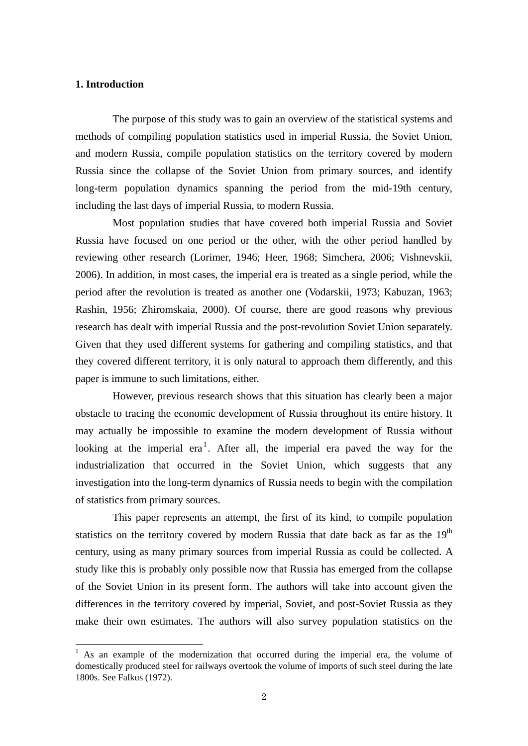## **1. Introduction**

-

The purpose of this study was to gain an overview of the statistical systems and methods of compiling population statistics used in imperial Russia, the Soviet Union, and modern Russia, compile population statistics on the territory covered by modern Russia since the collapse of the Soviet Union from primary sources, and identify long-term population dynamics spanning the period from the mid-19th century, including the last days of imperial Russia, to modern Russia.

Most population studies that have covered both imperial Russia and Soviet Russia have focused on one period or the other, with the other period handled by reviewing other research (Lorimer, 1946; Heer, 1968; Simchera, 2006; Vishnevskii, 2006). In addition, in most cases, the imperial era is treated as a single period, while the period after the revolution is treated as another one (Vodarskii, 1973; Kabuzan, 1963; Rashin, 1956; Zhiromskaia, 2000). Of course, there are good reasons why previous research has dealt with imperial Russia and the post-revolution Soviet Union separately. Given that they used different systems for gathering and compiling statistics, and that they covered different territory, it is only natural to approach them differently, and this paper is immune to such limitations, either.

 However, previous research shows that this situation has clearly been a major obstacle to tracing the economic development of Russia throughout its entire history. It may actually be impossible to examine the modern development of Russia without looking at the imperial era<sup>1</sup>. After all, the imperial era paved the way for the industrialization that occurred in the Soviet Union, which suggests that any investigation into the long-term dynamics of Russia needs to begin with the compilation of statistics from primary sources.

 This paper represents an attempt, the first of its kind, to compile population statistics on the territory covered by modern Russia that date back as far as the  $19<sup>th</sup>$ century, using as many primary sources from imperial Russia as could be collected. A study like this is probably only possible now that Russia has emerged from the collapse of the Soviet Union in its present form. The authors will take into account given the differences in the territory covered by imperial, Soviet, and post-Soviet Russia as they make their own estimates. The authors will also survey population statistics on the

<sup>&</sup>lt;sup>1</sup> As an example of the modernization that occurred during the imperial era, the volume of domestically produced steel for railways overtook the volume of imports of such steel during the late 1800s. See Falkus (1972).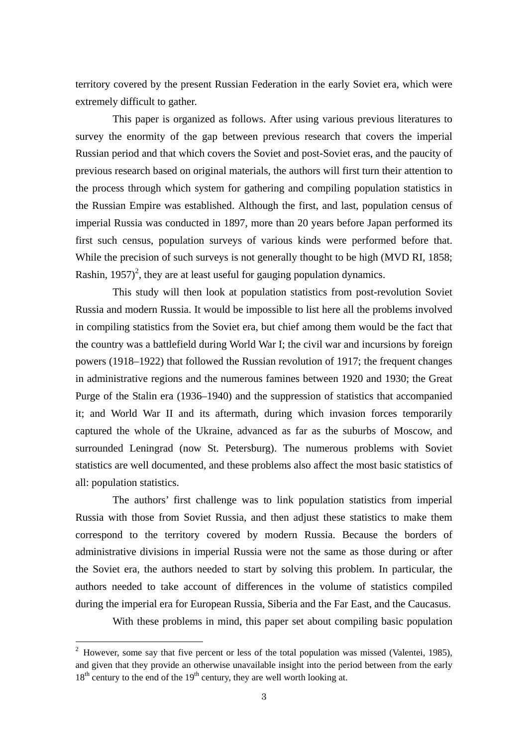territory covered by the present Russian Federation in the early Soviet era, which were extremely difficult to gather.

 This paper is organized as follows. After using various previous literatures to survey the enormity of the gap between previous research that covers the imperial Russian period and that which covers the Soviet and post-Soviet eras, and the paucity of previous research based on original materials, the authors will first turn their attention to the process through which system for gathering and compiling population statistics in the Russian Empire was established. Although the first, and last, population census of imperial Russia was conducted in 1897, more than 20 years before Japan performed its first such census, population surveys of various kinds were performed before that. While the precision of such surveys is not generally thought to be high (MVD RI, 1858; Rashin, 1957)<sup>2</sup>, they are at least useful for gauging population dynamics.

 This study will then look at population statistics from post-revolution Soviet Russia and modern Russia. It would be impossible to list here all the problems involved in compiling statistics from the Soviet era, but chief among them would be the fact that the country was a battlefield during World War I; the civil war and incursions by foreign powers (1918–1922) that followed the Russian revolution of 1917; the frequent changes in administrative regions and the numerous famines between 1920 and 1930; the Great Purge of the Stalin era (1936–1940) and the suppression of statistics that accompanied it; and World War II and its aftermath, during which invasion forces temporarily captured the whole of the Ukraine, advanced as far as the suburbs of Moscow, and surrounded Leningrad (now St. Petersburg). The numerous problems with Soviet statistics are well documented, and these problems also affect the most basic statistics of all: population statistics.

 The authors' first challenge was to link population statistics from imperial Russia with those from Soviet Russia, and then adjust these statistics to make them correspond to the territory covered by modern Russia. Because the borders of administrative divisions in imperial Russia were not the same as those during or after the Soviet era, the authors needed to start by solving this problem. In particular, the authors needed to take account of differences in the volume of statistics compiled during the imperial era for European Russia, Siberia and the Far East, and the Caucasus.

With these problems in mind, this paper set about compiling basic population

<sup>&</sup>lt;sup>2</sup> However, some say that five percent or less of the total population was missed (Valentei, 1985), and given that they provide an otherwise unavailable insight into the period between from the early  $18<sup>th</sup>$  century to the end of the  $19<sup>th</sup>$  century, they are well worth looking at.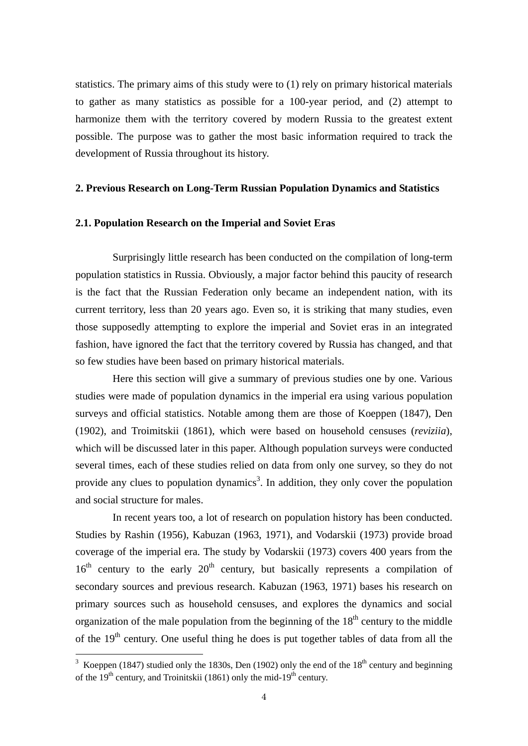statistics. The primary aims of this study were to (1) rely on primary historical materials to gather as many statistics as possible for a 100-year period, and (2) attempt to harmonize them with the territory covered by modern Russia to the greatest extent possible. The purpose was to gather the most basic information required to track the development of Russia throughout its history.

## **2. Previous Research on Long-Term Russian Population Dynamics and Statistics**

### **2.1. Population Research on the Imperial and Soviet Eras**

Surprisingly little research has been conducted on the compilation of long-term population statistics in Russia. Obviously, a major factor behind this paucity of research is the fact that the Russian Federation only became an independent nation, with its current territory, less than 20 years ago. Even so, it is striking that many studies, even those supposedly attempting to explore the imperial and Soviet eras in an integrated fashion, have ignored the fact that the territory covered by Russia has changed, and that so few studies have been based on primary historical materials.

 Here this section will give a summary of previous studies one by one. Various studies were made of population dynamics in the imperial era using various population surveys and official statistics. Notable among them are those of Koeppen (1847), Den (1902), and Troimitskii (1861), which were based on household censuses (*reviziia*), which will be discussed later in this paper. Although population surveys were conducted several times, each of these studies relied on data from only one survey, so they do not provide any clues to population dynamics<sup>3</sup>. In addition, they only cover the population and social structure for males.

 In recent years too, a lot of research on population history has been conducted. Studies by Rashin (1956), Kabuzan (1963, 1971), and Vodarskii (1973) provide broad coverage of the imperial era. The study by Vodarskii (1973) covers 400 years from the  $16<sup>th</sup>$  century to the early  $20<sup>th</sup>$  century, but basically represents a compilation of secondary sources and previous research. Kabuzan (1963, 1971) bases his research on primary sources such as household censuses, and explores the dynamics and social organization of the male population from the beginning of the  $18<sup>th</sup>$  century to the middle of the  $19<sup>th</sup>$  century. One useful thing he does is put together tables of data from all the

<sup>&</sup>lt;sup>3</sup> Koeppen (1847) studied only the 1830s, Den (1902) only the end of the  $18<sup>th</sup>$  century and beginning of the  $19<sup>th</sup>$  century, and Troinitskii (1861) only the mid-19<sup>th</sup> century.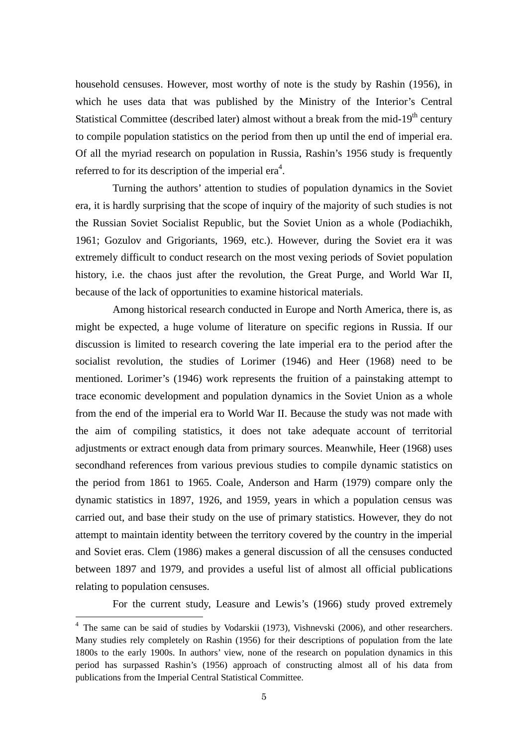household censuses. However, most worthy of note is the study by Rashin (1956), in which he uses data that was published by the Ministry of the Interior's Central Statistical Committee (described later) almost without a break from the mid-19<sup>th</sup> century to compile population statistics on the period from then up until the end of imperial era. Of all the myriad research on population in Russia, Rashin's 1956 study is frequently referred to for its description of the imperial era<sup>4</sup>.

 Turning the authors' attention to studies of population dynamics in the Soviet era, it is hardly surprising that the scope of inquiry of the majority of such studies is not the Russian Soviet Socialist Republic, but the Soviet Union as a whole (Podiachikh, 1961; Gozulov and Grigoriants, 1969, etc.). However, during the Soviet era it was extremely difficult to conduct research on the most vexing periods of Soviet population history, i.e. the chaos just after the revolution, the Great Purge, and World War II, because of the lack of opportunities to examine historical materials.

 Among historical research conducted in Europe and North America, there is, as might be expected, a huge volume of literature on specific regions in Russia. If our discussion is limited to research covering the late imperial era to the period after the socialist revolution, the studies of Lorimer (1946) and Heer (1968) need to be mentioned. Lorimer's (1946) work represents the fruition of a painstaking attempt to trace economic development and population dynamics in the Soviet Union as a whole from the end of the imperial era to World War II. Because the study was not made with the aim of compiling statistics, it does not take adequate account of territorial adjustments or extract enough data from primary sources. Meanwhile, Heer (1968) uses secondhand references from various previous studies to compile dynamic statistics on the period from 1861 to 1965. Coale, Anderson and Harm (1979) compare only the dynamic statistics in 1897, 1926, and 1959, years in which a population census was carried out, and base their study on the use of primary statistics. However, they do not attempt to maintain identity between the territory covered by the country in the imperial and Soviet eras. Clem (1986) makes a general discussion of all the censuses conducted between 1897 and 1979, and provides a useful list of almost all official publications relating to population censuses.

For the current study, Leasure and Lewis's (1966) study proved extremely

<sup>&</sup>lt;sup>4</sup> The same can be said of studies by Vodarskii (1973), Vishnevski (2006), and other researchers. Many studies rely completely on Rashin (1956) for their descriptions of population from the late 1800s to the early 1900s. In authors' view, none of the research on population dynamics in this period has surpassed Rashin's (1956) approach of constructing almost all of his data from publications from the Imperial Central Statistical Committee.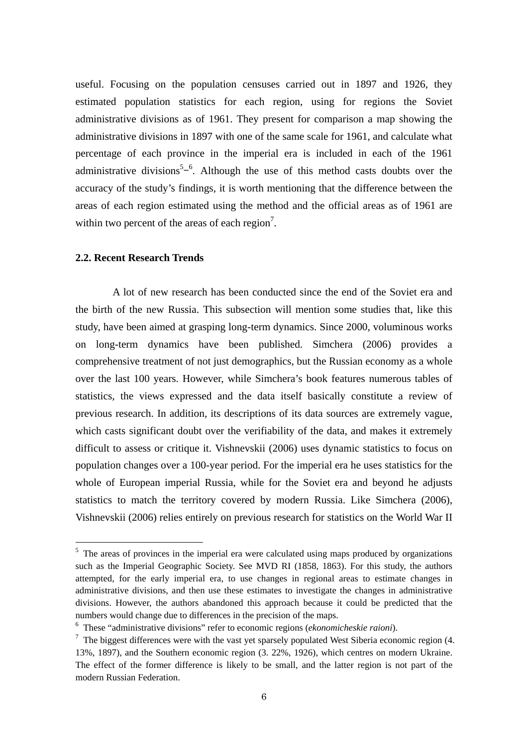useful. Focusing on the population censuses carried out in 1897 and 1926, they estimated population statistics for each region, using for regions the Soviet administrative divisions as of 1961. They present for comparison a map showing the administrative divisions in 1897 with one of the same scale for 1961, and calculate what percentage of each province in the imperial era is included in each of the 1961 administrative divisions<sup>5 $-6$ </sup>. Although the use of this method casts doubts over the accuracy of the study's findings, it is worth mentioning that the difference between the areas of each region estimated using the method and the official areas as of 1961 are within two percent of the areas of each region<sup>7</sup>.

## **2.2. Recent Research Trends**

-

A lot of new research has been conducted since the end of the Soviet era and the birth of the new Russia. This subsection will mention some studies that, like this study, have been aimed at grasping long-term dynamics. Since 2000, voluminous works on long-term dynamics have been published. Simchera (2006) provides a comprehensive treatment of not just demographics, but the Russian economy as a whole over the last 100 years. However, while Simchera's book features numerous tables of statistics, the views expressed and the data itself basically constitute a review of previous research. In addition, its descriptions of its data sources are extremely vague, which casts significant doubt over the verifiability of the data, and makes it extremely difficult to assess or critique it. Vishnevskii (2006) uses dynamic statistics to focus on population changes over a 100-year period. For the imperial era he uses statistics for the whole of European imperial Russia, while for the Soviet era and beyond he adjusts statistics to match the territory covered by modern Russia. Like Simchera (2006), Vishnevskii (2006) relies entirely on previous research for statistics on the World War II

 $<sup>5</sup>$  The areas of provinces in the imperial era were calculated using maps produced by organizations</sup> such as the Imperial Geographic Society. See MVD RI (1858, 1863). For this study, the authors attempted, for the early imperial era, to use changes in regional areas to estimate changes in administrative divisions, and then use these estimates to investigate the changes in administrative divisions. However, the authors abandoned this approach because it could be predicted that the numbers would change due to differences in the precision of the maps.

<sup>6</sup> These "administrative divisions" refer to economic regions (*ekonomicheskie raioni*).

 $7$  The biggest differences were with the vast yet sparsely populated West Siberia economic region (4. 13%, 1897), and the Southern economic region (3. 22%, 1926), which centres on modern Ukraine. The effect of the former difference is likely to be small, and the latter region is not part of the modern Russian Federation.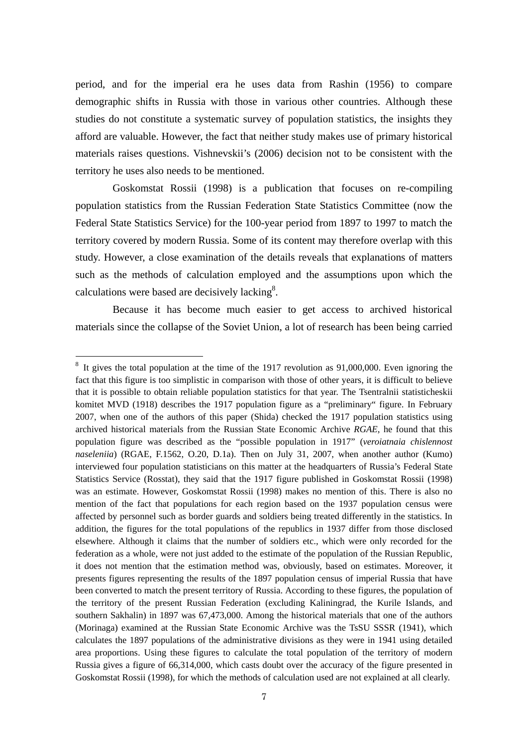period, and for the imperial era he uses data from Rashin (1956) to compare demographic shifts in Russia with those in various other countries. Although these studies do not constitute a systematic survey of population statistics, the insights they afford are valuable. However, the fact that neither study makes use of primary historical materials raises questions. Vishnevskii's (2006) decision not to be consistent with the territory he uses also needs to be mentioned.

 Goskomstat Rossii (1998) is a publication that focuses on re-compiling population statistics from the Russian Federation State Statistics Committee (now the Federal State Statistics Service) for the 100-year period from 1897 to 1997 to match the territory covered by modern Russia. Some of its content may therefore overlap with this study. However, a close examination of the details reveals that explanations of matters such as the methods of calculation employed and the assumptions upon which the calculations were based are decisively lacking $8$ .

 Because it has become much easier to get access to archived historical materials since the collapse of the Soviet Union, a lot of research has been being carried

 $8\,$  It gives the total population at the time of the 1917 revolution as 91,000,000. Even ignoring the fact that this figure is too simplistic in comparison with those of other years, it is difficult to believe that it is possible to obtain reliable population statistics for that year. The Tsentralnii statisticheskii komitet MVD (1918) describes the 1917 population figure as a "preliminary" figure. In February 2007, when one of the authors of this paper (Shida) checked the 1917 population statistics using archived historical materials from the Russian State Economic Archive *RGAE*, he found that this population figure was described as the "possible population in 1917" (*veroiatnaia chislennost naseleniia*) (RGAE, F.1562, O.20, D.1a). Then on July 31, 2007, when another author (Kumo) interviewed four population statisticians on this matter at the headquarters of Russia's Federal State Statistics Service (Rosstat), they said that the 1917 figure published in Goskomstat Rossii (1998) was an estimate. However, Goskomstat Rossii (1998) makes no mention of this. There is also no mention of the fact that populations for each region based on the 1937 population census were affected by personnel such as border guards and soldiers being treated differently in the statistics. In addition, the figures for the total populations of the republics in 1937 differ from those disclosed elsewhere. Although it claims that the number of soldiers etc., which were only recorded for the federation as a whole, were not just added to the estimate of the population of the Russian Republic, it does not mention that the estimation method was, obviously, based on estimates. Moreover, it presents figures representing the results of the 1897 population census of imperial Russia that have been converted to match the present territory of Russia. According to these figures, the population of the territory of the present Russian Federation (excluding Kaliningrad, the Kurile Islands, and southern Sakhalin) in 1897 was 67,473,000. Among the historical materials that one of the authors (Morinaga) examined at the Russian State Economic Archive was the TsSU SSSR (1941), which calculates the 1897 populations of the administrative divisions as they were in 1941 using detailed area proportions. Using these figures to calculate the total population of the territory of modern Russia gives a figure of 66,314,000, which casts doubt over the accuracy of the figure presented in Goskomstat Rossii (1998), for which the methods of calculation used are not explained at all clearly.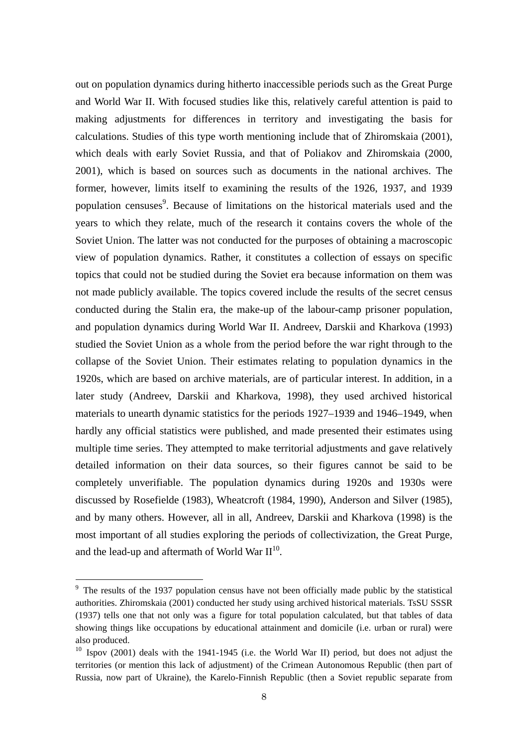out on population dynamics during hitherto inaccessible periods such as the Great Purge and World War II. With focused studies like this, relatively careful attention is paid to making adjustments for differences in territory and investigating the basis for calculations. Studies of this type worth mentioning include that of Zhiromskaia (2001), which deals with early Soviet Russia, and that of Poliakov and Zhiromskaia (2000, 2001), which is based on sources such as documents in the national archives. The former, however, limits itself to examining the results of the 1926, 1937, and 1939 population censuses<sup>9</sup>. Because of limitations on the historical materials used and the years to which they relate, much of the research it contains covers the whole of the Soviet Union. The latter was not conducted for the purposes of obtaining a macroscopic view of population dynamics. Rather, it constitutes a collection of essays on specific topics that could not be studied during the Soviet era because information on them was not made publicly available. The topics covered include the results of the secret census conducted during the Stalin era, the make-up of the labour-camp prisoner population, and population dynamics during World War II. Andreev, Darskii and Kharkova (1993) studied the Soviet Union as a whole from the period before the war right through to the collapse of the Soviet Union. Their estimates relating to population dynamics in the 1920s, which are based on archive materials, are of particular interest. In addition, in a later study (Andreev, Darskii and Kharkova, 1998), they used archived historical materials to unearth dynamic statistics for the periods 1927–1939 and 1946–1949, when hardly any official statistics were published, and made presented their estimates using multiple time series. They attempted to make territorial adjustments and gave relatively detailed information on their data sources, so their figures cannot be said to be completely unverifiable. The population dynamics during 1920s and 1930s were discussed by Rosefielde (1983), Wheatcroft (1984, 1990), Anderson and Silver (1985), and by many others. However, all in all, Andreev, Darskii and Kharkova (1998) is the most important of all studies exploring the periods of collectivization, the Great Purge, and the lead-up and aftermath of World War  $II^{10}$ .

 $9<sup>9</sup>$  The results of the 1937 population census have not been officially made public by the statistical authorities. Zhiromskaia (2001) conducted her study using archived historical materials. TsSU SSSR (1937) tells one that not only was a figure for total population calculated, but that tables of data showing things like occupations by educational attainment and domicile (i.e. urban or rural) were also produced.

 $10$  Ispov (2001) deals with the 1941-1945 (i.e. the World War II) period, but does not adjust the territories (or mention this lack of adjustment) of the Crimean Autonomous Republic (then part of Russia, now part of Ukraine), the Karelo-Finnish Republic (then a Soviet republic separate from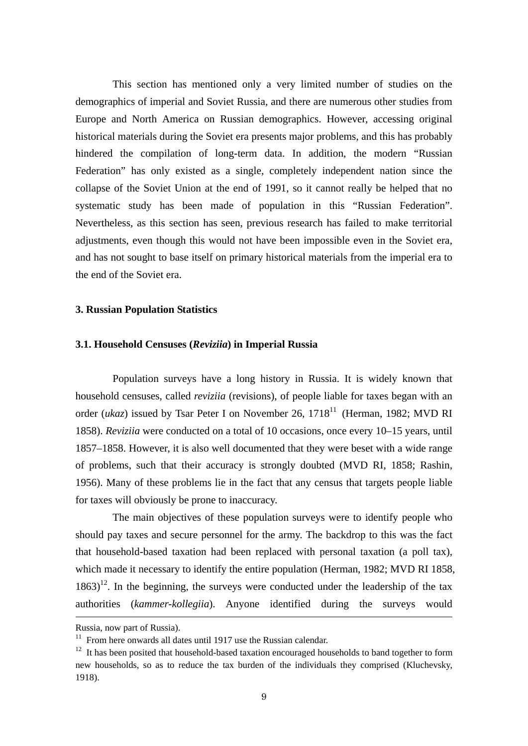This section has mentioned only a very limited number of studies on the demographics of imperial and Soviet Russia, and there are numerous other studies from Europe and North America on Russian demographics. However, accessing original historical materials during the Soviet era presents major problems, and this has probably hindered the compilation of long-term data. In addition, the modern "Russian Federation" has only existed as a single, completely independent nation since the collapse of the Soviet Union at the end of 1991, so it cannot really be helped that no systematic study has been made of population in this "Russian Federation". Nevertheless, as this section has seen, previous research has failed to make territorial adjustments, even though this would not have been impossible even in the Soviet era, and has not sought to base itself on primary historical materials from the imperial era to the end of the Soviet era.

### **3. Russian Population Statistics**

## **3.1. Household Censuses (***Reviziia***) in Imperial Russia**

Population surveys have a long history in Russia. It is widely known that household censuses, called *reviziia* (revisions), of people liable for taxes began with an order (*ukaz*) issued by Tsar Peter I on November 26, 1718<sup>11</sup> (Herman, 1982; MVD RI 1858). *Reviziia* were conducted on a total of 10 occasions, once every 10–15 years, until 1857–1858. However, it is also well documented that they were beset with a wide range of problems, such that their accuracy is strongly doubted (MVD RI, 1858; Rashin, 1956). Many of these problems lie in the fact that any census that targets people liable for taxes will obviously be prone to inaccuracy.

 The main objectives of these population surveys were to identify people who should pay taxes and secure personnel for the army. The backdrop to this was the fact that household-based taxation had been replaced with personal taxation (a poll tax), which made it necessary to identify the entire population (Herman, 1982; MVD RI 1858,  $1863$ <sup>12</sup>. In the beginning, the surveys were conducted under the leadership of the tax authorities (*kammer-kollegiia*). Anyone identified during the surveys would

Russia, now part of Russia).

 $11$  From here onwards all dates until 1917 use the Russian calendar.

 $12$  It has been posited that household-based taxation encouraged households to band together to form new households, so as to reduce the tax burden of the individuals they comprised (Kluchevsky, 1918).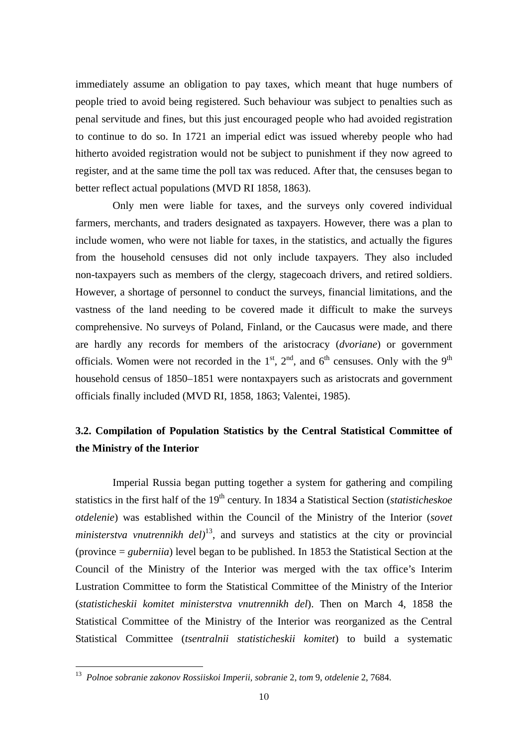immediately assume an obligation to pay taxes, which meant that huge numbers of people tried to avoid being registered. Such behaviour was subject to penalties such as penal servitude and fines, but this just encouraged people who had avoided registration to continue to do so. In 1721 an imperial edict was issued whereby people who had hitherto avoided registration would not be subject to punishment if they now agreed to register, and at the same time the poll tax was reduced. After that, the censuses began to better reflect actual populations (MVD RI 1858, 1863).

 Only men were liable for taxes, and the surveys only covered individual farmers, merchants, and traders designated as taxpayers. However, there was a plan to include women, who were not liable for taxes, in the statistics, and actually the figures from the household censuses did not only include taxpayers. They also included non-taxpayers such as members of the clergy, stagecoach drivers, and retired soldiers. However, a shortage of personnel to conduct the surveys, financial limitations, and the vastness of the land needing to be covered made it difficult to make the surveys comprehensive. No surveys of Poland, Finland, or the Caucasus were made, and there are hardly any records for members of the aristocracy (*dvoriane*) or government officials. Women were not recorded in the  $1<sup>st</sup>$ ,  $2<sup>nd</sup>$ , and  $6<sup>th</sup>$  censuses. Only with the 9<sup>th</sup> household census of 1850–1851 were nontaxpayers such as aristocrats and government officials finally included (MVD RI, 1858, 1863; Valentei, 1985).

## **3.2. Compilation of Population Statistics by the Central Statistical Committee of the Ministry of the Interior**

Imperial Russia began putting together a system for gathering and compiling statistics in the first half of the 19<sup>th</sup> century. In 1834 a Statistical Section (*statisticheskoe otdelenie*) was established within the Council of the Ministry of the Interior (*sovet ministerstva vnutrennikh del*<sup>13</sup>, and surveys and statistics at the city or provincial (province = *guberniia*) level began to be published. In 1853 the Statistical Section at the Council of the Ministry of the Interior was merged with the tax office's Interim Lustration Committee to form the Statistical Committee of the Ministry of the Interior (*statisticheskii komitet ministerstva vnutrennikh del*). Then on March 4, 1858 the Statistical Committee of the Ministry of the Interior was reorganized as the Central Statistical Committee (*tsentralnii statisticheskii komitet*) to build a systematic

<sup>13</sup> *Polnoe sobranie zakonov Rossiiskoi Imperii, sobranie* 2, *tom* 9, *otdelenie* 2, 7684.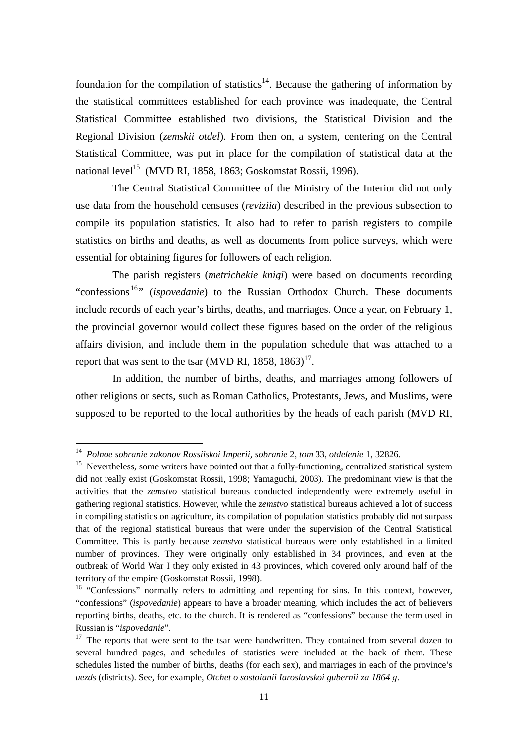foundation for the compilation of statistics<sup>14</sup>. Because the gathering of information by the statistical committees established for each province was inadequate, the Central Statistical Committee established two divisions, the Statistical Division and the Regional Division (*zemskii otdel*). From then on, a system, centering on the Central Statistical Committee, was put in place for the compilation of statistical data at the national level<sup>15</sup> (MVD RI, 1858, 1863; Goskomstat Rossii, 1996).

 The Central Statistical Committee of the Ministry of the Interior did not only use data from the household censuses (*reviziia*) described in the previous subsection to compile its population statistics. It also had to refer to parish registers to compile statistics on births and deaths, as well as documents from police surveys, which were essential for obtaining figures for followers of each religion.

The parish registers (*metrichekie knigi*) were based on documents recording "confessions<sup>16</sup>" (*ispovedanie*) to the Russian Orthodox Church. These documents include records of each year's births, deaths, and marriages. Once a year, on February 1, the provincial governor would collect these figures based on the order of the religious affairs division, and include them in the population schedule that was attached to a report that was sent to the tsar (MVD RI, 1858, 1863)<sup>17</sup>.

 In addition, the number of births, deaths, and marriages among followers of other religions or sects, such as Roman Catholics, Protestants, Jews, and Muslims, were supposed to be reported to the local authorities by the heads of each parish (MVD RI,

<sup>14</sup> *Polnoe sobranie zakonov Rossiiskoi Imperii, sobranie* 2, *tom* 33, *otdelenie* 1, 32826.

<sup>&</sup>lt;sup>15</sup> Nevertheless, some writers have pointed out that a fully-functioning, centralized statistical system did not really exist (Goskomstat Rossii, 1998; Yamaguchi, 2003). The predominant view is that the activities that the *zemstvo* statistical bureaus conducted independently were extremely useful in gathering regional statistics. However, while the *zemstvo* statistical bureaus achieved a lot of success in compiling statistics on agriculture, its compilation of population statistics probably did not surpass that of the regional statistical bureaus that were under the supervision of the Central Statistical Committee. This is partly because *zemstvo* statistical bureaus were only established in a limited number of provinces. They were originally only established in 34 provinces, and even at the outbreak of World War I they only existed in 43 provinces, which covered only around half of the territory of the empire (Goskomstat Rossii, 1998).

<sup>&</sup>lt;sup>16</sup> "Confessions" normally refers to admitting and repenting for sins. In this context, however, "confessions" (*ispovedanie*) appears to have a broader meaning, which includes the act of believers reporting births, deaths, etc. to the church. It is rendered as "confessions" because the term used in Russian is "*ispovedanie*".

<sup>&</sup>lt;sup>17</sup> The reports that were sent to the tsar were handwritten. They contained from several dozen to several hundred pages, and schedules of statistics were included at the back of them. These schedules listed the number of births, deaths (for each sex), and marriages in each of the province's *uezds* (districts). See, for example, *Otchet o sostoianii Iaroslavskoi gubernii za 1864 g*.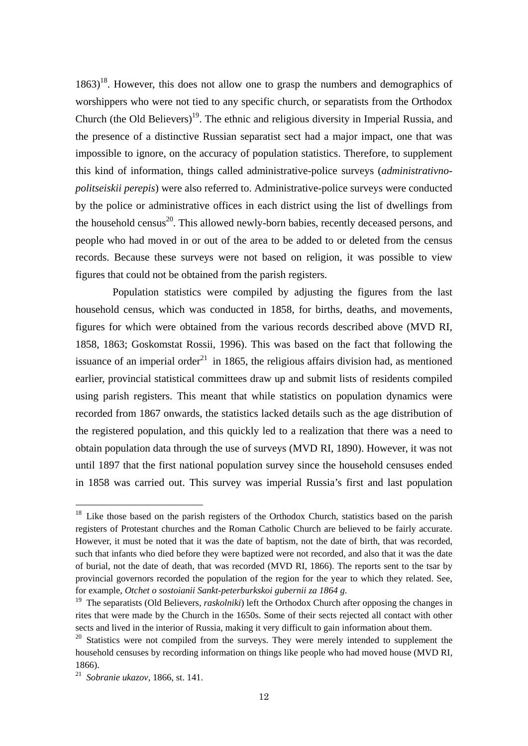$1863$ <sup>18</sup>. However, this does not allow one to grasp the numbers and demographics of worshippers who were not tied to any specific church, or separatists from the Orthodox Church (the Old Believers)<sup>19</sup>. The ethnic and religious diversity in Imperial Russia, and the presence of a distinctive Russian separatist sect had a major impact, one that was impossible to ignore, on the accuracy of population statistics. Therefore, to supplement this kind of information, things called administrative-police surveys (*administrativnopolitseiskii perepis*) were also referred to. Administrative-police surveys were conducted by the police or administrative offices in each district using the list of dwellings from the household census<sup>20</sup>. This allowed newly-born babies, recently deceased persons, and people who had moved in or out of the area to be added to or deleted from the census records. Because these surveys were not based on religion, it was possible to view figures that could not be obtained from the parish registers.

 Population statistics were compiled by adjusting the figures from the last household census, which was conducted in 1858, for births, deaths, and movements, figures for which were obtained from the various records described above (MVD RI, 1858, 1863; Goskomstat Rossii, 1996). This was based on the fact that following the issuance of an imperial order<sup>21</sup> in 1865, the religious affairs division had, as mentioned earlier, provincial statistical committees draw up and submit lists of residents compiled using parish registers. This meant that while statistics on population dynamics were recorded from 1867 onwards, the statistics lacked details such as the age distribution of the registered population, and this quickly led to a realization that there was a need to obtain population data through the use of surveys (MVD RI, 1890). However, it was not until 1897 that the first national population survey since the household censuses ended in 1858 was carried out. This survey was imperial Russia's first and last population

<sup>&</sup>lt;sup>18</sup> Like those based on the parish registers of the Orthodox Church, statistics based on the parish registers of Protestant churches and the Roman Catholic Church are believed to be fairly accurate. However, it must be noted that it was the date of baptism, not the date of birth, that was recorded, such that infants who died before they were baptized were not recorded, and also that it was the date of burial, not the date of death, that was recorded (MVD RI, 1866). The reports sent to the tsar by provincial governors recorded the population of the region for the year to which they related. See, for example, *Otchet o sostoianii Sankt-peterburkskoi gubernii za 1864 g*. 19 The separatists (Old Believers, *raskolniki*) left the Orthodox Church after opposing the changes in

rites that were made by the Church in the 1650s. Some of their sects rejected all contact with other sects and lived in the interior of Russia, making it very difficult to gain information about them.

 $20$  Statistics were not compiled from the surveys. They were merely intended to supplement the household censuses by recording information on things like people who had moved house (MVD RI, 1866).

<sup>21</sup> *Sobranie ukazov*, 1866, st. 141.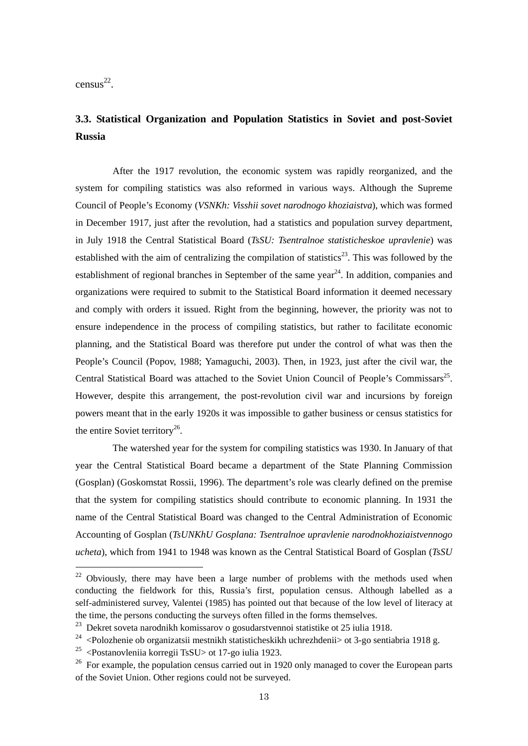census 22.

-

## **3.3. Statistical Organization and Population Statistics in Soviet and post-Soviet Russia**

After the 1917 revolution, the economic system was rapidly reorganized, and the system for compiling statistics was also reformed in various ways. Although the Supreme Council of People's Economy (*VSNKh: Visshii sovet narodnogo khoziaistva*), which was formed in December 1917, just after the revolution, had a statistics and population survey department, in July 1918 the Central Statistical Board (*TsSU: Tsentralnoe statisticheskoe upravlenie*) was established with the aim of centralizing the compilation of statistics<sup>23</sup>. This was followed by the establishment of regional branches in September of the same year<sup>24</sup>. In addition, companies and organizations were required to submit to the Statistical Board information it deemed necessary and comply with orders it issued. Right from the beginning, however, the priority was not to ensure independence in the process of compiling statistics, but rather to facilitate economic planning, and the Statistical Board was therefore put under the control of what was then the People's Council (Popov, 1988; Yamaguchi, 2003). Then, in 1923, just after the civil war, the Central Statistical Board was attached to the Soviet Union Council of People's Commissars<sup>25</sup>. However, despite this arrangement, the post-revolution civil war and incursions by foreign powers meant that in the early 1920s it was impossible to gather business or census statistics for the entire Soviet territory<sup>26</sup>.

 The watershed year for the system for compiling statistics was 1930. In January of that year the Central Statistical Board became a department of the State Planning Commission (Gosplan) (Goskomstat Rossii, 1996). The department's role was clearly defined on the premise that the system for compiling statistics should contribute to economic planning. In 1931 the name of the Central Statistical Board was changed to the Central Administration of Economic Accounting of Gosplan (*TsUNKhU Gosplana: Tsentralnoe upravlenie narodnokhoziaistvennogo ucheta*), which from 1941 to 1948 was known as the Central Statistical Board of Gosplan (*TsSU* 

 $22$  Obviously, there may have been a large number of problems with the methods used when conducting the fieldwork for this, Russia's first, population census. Although labelled as a self-administered survey, Valentei (1985) has pointed out that because of the low level of literacy at the time, the persons conducting the surveys often filled in the forms themselves.

<sup>&</sup>lt;sup>23</sup> Dekret soveta narodnikh komissarov o gosudarstvennoi statistike ot 25 iulia 1918.

<sup>&</sup>lt;sup>24</sup> <Polozhenie ob organizatsii mestnikh statisticheskikh uchrezhdenii> ot 3-go sentiabria 1918 g.

<sup>&</sup>lt;sup>25</sup> <Postanovleniia korregii TsSU $>$  ot 17-go iulia 1923.

<sup>&</sup>lt;sup>26</sup> For example, the population census carried out in 1920 only managed to cover the European parts of the Soviet Union. Other regions could not be surveyed.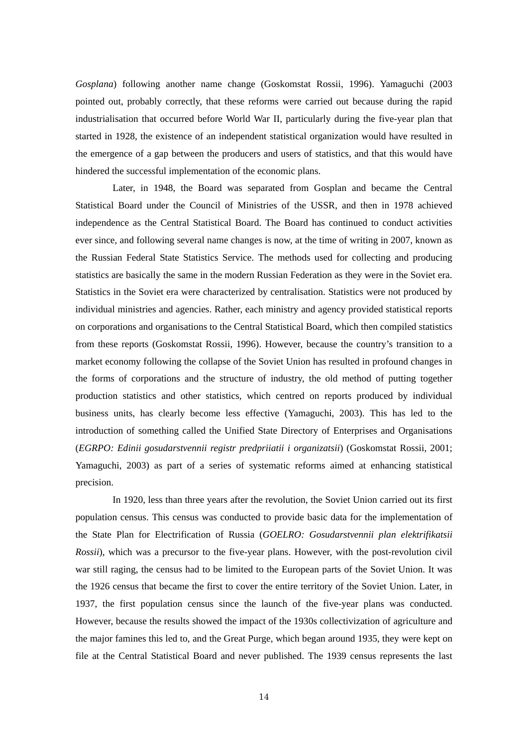*Gosplana*) following another name change (Goskomstat Rossii, 1996). Yamaguchi (2003 pointed out, probably correctly, that these reforms were carried out because during the rapid industrialisation that occurred before World War II, particularly during the five-year plan that started in 1928, the existence of an independent statistical organization would have resulted in the emergence of a gap between the producers and users of statistics, and that this would have hindered the successful implementation of the economic plans.

 Later, in 1948, the Board was separated from Gosplan and became the Central Statistical Board under the Council of Ministries of the USSR, and then in 1978 achieved independence as the Central Statistical Board. The Board has continued to conduct activities ever since, and following several name changes is now, at the time of writing in 2007, known as the Russian Federal State Statistics Service. The methods used for collecting and producing statistics are basically the same in the modern Russian Federation as they were in the Soviet era. Statistics in the Soviet era were characterized by centralisation. Statistics were not produced by individual ministries and agencies. Rather, each ministry and agency provided statistical reports on corporations and organisations to the Central Statistical Board, which then compiled statistics from these reports (Goskomstat Rossii, 1996). However, because the country's transition to a market economy following the collapse of the Soviet Union has resulted in profound changes in the forms of corporations and the structure of industry, the old method of putting together production statistics and other statistics, which centred on reports produced by individual business units, has clearly become less effective (Yamaguchi, 2003). This has led to the introduction of something called the Unified State Directory of Enterprises and Organisations (*EGRPO: Edinii gosudarstvennii registr predpriiatii i organizatsii*) (Goskomstat Rossii, 2001; Yamaguchi, 2003) as part of a series of systematic reforms aimed at enhancing statistical precision.

 In 1920, less than three years after the revolution, the Soviet Union carried out its first population census. This census was conducted to provide basic data for the implementation of the State Plan for Electrification of Russia (*GOELRO: Gosudarstvennii plan elektrifikatsii Rossii*), which was a precursor to the five-year plans. However, with the post-revolution civil war still raging, the census had to be limited to the European parts of the Soviet Union. It was the 1926 census that became the first to cover the entire territory of the Soviet Union. Later, in 1937, the first population census since the launch of the five-year plans was conducted. However, because the results showed the impact of the 1930s collectivization of agriculture and the major famines this led to, and the Great Purge, which began around 1935, they were kept on file at the Central Statistical Board and never published. The 1939 census represents the last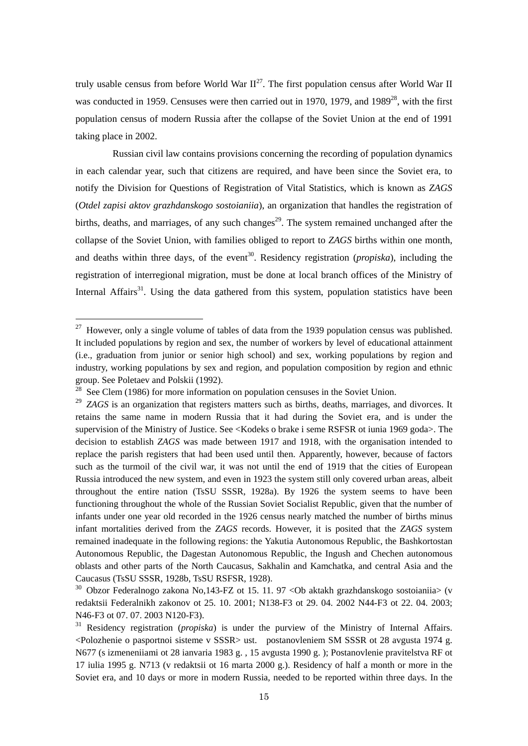truly usable census from before World War  $II^{27}$ . The first population census after World War II was conducted in 1959. Censuses were then carried out in 1970, 1979, and  $1989^{28}$ , with the first population census of modern Russia after the collapse of the Soviet Union at the end of 1991 taking place in 2002.

 Russian civil law contains provisions concerning the recording of population dynamics in each calendar year, such that citizens are required, and have been since the Soviet era, to notify the Division for Questions of Registration of Vital Statistics, which is known as *ZAGS*  (*Otdel zapisi aktov grazhdanskogo sostoianiia*), an organization that handles the registration of births, deaths, and marriages, of any such changes<sup>29</sup>. The system remained unchanged after the collapse of the Soviet Union, with families obliged to report to *ZAGS* births within one month, and deaths within three days, of the event<sup>30</sup>. Residency registration (*propiska*), including the registration of interregional migration, must be done at local branch offices of the Ministry of Internal Affairs<sup>31</sup>. Using the data gathered from this system, population statistics have been

 $27$  However, only a single volume of tables of data from the 1939 population census was published. It included populations by region and sex, the number of workers by level of educational attainment (i.e., graduation from junior or senior high school) and sex, working populations by region and industry, working populations by sex and region, and population composition by region and ethnic group. See Poletaev and Polskii (1992).

 $28$  See Clem (1986) for more information on population censuses in the Soviet Union.

<sup>&</sup>lt;sup>29</sup> *ZAGS* is an organization that registers matters such as births, deaths, marriages, and divorces. It retains the same name in modern Russia that it had during the Soviet era, and is under the supervision of the Ministry of Justice. See <Kodeks o brake i seme RSFSR ot iunia 1969 goda>. The decision to establish *ZAGS* was made between 1917 and 1918, with the organisation intended to replace the parish registers that had been used until then. Apparently, however, because of factors such as the turmoil of the civil war, it was not until the end of 1919 that the cities of European Russia introduced the new system, and even in 1923 the system still only covered urban areas, albeit throughout the entire nation (TsSU SSSR, 1928a). By 1926 the system seems to have been functioning throughout the whole of the Russian Soviet Socialist Republic, given that the number of infants under one year old recorded in the 1926 census nearly matched the number of births minus infant mortalities derived from the *ZAGS* records. However, it is posited that the *ZAGS* system remained inadequate in the following regions: the Yakutia Autonomous Republic, the Bashkortostan Autonomous Republic, the Dagestan Autonomous Republic, the Ingush and Chechen autonomous oblasts and other parts of the North Caucasus, Sakhalin and Kamchatka, and central Asia and the Caucasus (TsSU SSSR, 1928b, TsSU RSFSR, 1928).

 $30$  Obzor Federalnogo zakona No,143-FZ ot 15. 11. 97 < Ob aktakh grazhdanskogo sostoianiia> (v redaktsii Federalnikh zakonov ot 25. 10. 2001; N138-F3 ot 29. 04. 2002 N44-F3 ot 22. 04. 2003; N46-F3 ot 07. 07. 2003 N120-F3).

<sup>31</sup> Residency registration (*propiska*) is under the purview of the Ministry of Internal Affairs. <Polozhenie o pasportnoi sisteme v SSSR> ust. postanovleniem SM SSSR ot 28 avgusta 1974 g. N677 (s izmeneniiami ot 28 ianvaria 1983 g. , 15 avgusta 1990 g. ); Postanovlenie pravitelstva RF ot 17 iulia 1995 g. N713 (v redaktsii ot 16 marta 2000 g.). Residency of half a month or more in the Soviet era, and 10 days or more in modern Russia, needed to be reported within three days. In the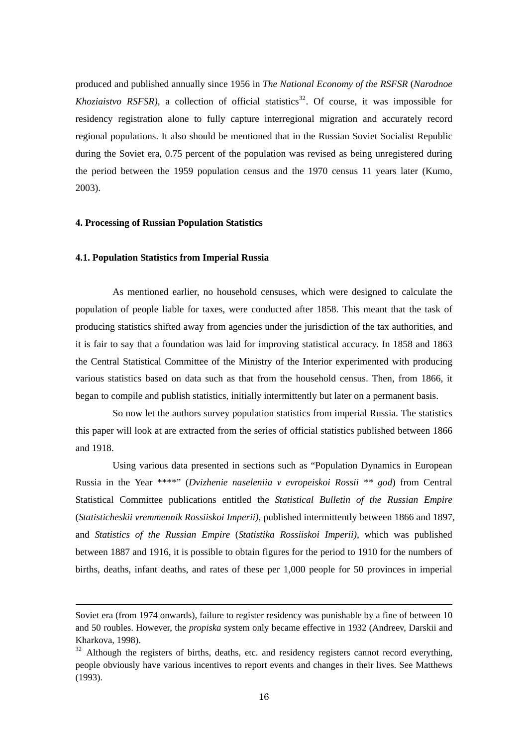produced and published annually since 1956 in *The National Economy of the RSFSR* (*Narodnoe Khoziaistvo RSFSR)*, a collection of official statistics<sup>32</sup>. Of course, it was impossible for residency registration alone to fully capture interregional migration and accurately record regional populations. It also should be mentioned that in the Russian Soviet Socialist Republic during the Soviet era, 0.75 percent of the population was revised as being unregistered during the period between the 1959 population census and the 1970 census 11 years later (Kumo, 2003).

#### **4. Processing of Russian Population Statistics**

#### **4.1. Population Statistics from Imperial Russia**

-

As mentioned earlier, no household censuses, which were designed to calculate the population of people liable for taxes, were conducted after 1858. This meant that the task of producing statistics shifted away from agencies under the jurisdiction of the tax authorities, and it is fair to say that a foundation was laid for improving statistical accuracy. In 1858 and 1863 the Central Statistical Committee of the Ministry of the Interior experimented with producing various statistics based on data such as that from the household census. Then, from 1866, it began to compile and publish statistics, initially intermittently but later on a permanent basis.

 So now let the authors survey population statistics from imperial Russia. The statistics this paper will look at are extracted from the series of official statistics published between 1866 and 1918.

 Using various data presented in sections such as "Population Dynamics in European Russia in the Year \*\*\*\*" (*Dvizhenie naseleniia v evropeiskoi Rossii \*\* god*) from Central Statistical Committee publications entitled the *Statistical Bulletin of the Russian Empire* (*Statisticheskii vremmennik Rossiiskoi Imperii)*, published intermittently between 1866 and 1897, and *Statistics of the Russian Empire* (*Statistika Rossiiskoi Imperii)*, which was published between 1887 and 1916, it is possible to obtain figures for the period to 1910 for the numbers of births, deaths, infant deaths, and rates of these per 1,000 people for 50 provinces in imperial

Soviet era (from 1974 onwards), failure to register residency was punishable by a fine of between 10 and 50 roubles. However, the *propiska* system only became effective in 1932 (Andreev, Darskii and Kharkova, 1998).

 $32$  Although the registers of births, deaths, etc. and residency registers cannot record everything, people obviously have various incentives to report events and changes in their lives. See Matthews (1993).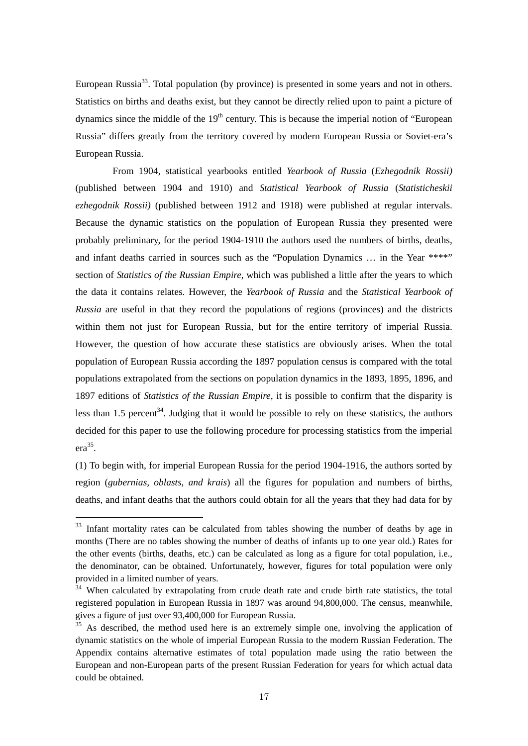European Russia<sup>33</sup>. Total population (by province) is presented in some years and not in others. Statistics on births and deaths exist, but they cannot be directly relied upon to paint a picture of dynamics since the middle of the  $19<sup>th</sup>$  century. This is because the imperial notion of "European" Russia" differs greatly from the territory covered by modern European Russia or Soviet-era's European Russia.

 From 1904, statistical yearbooks entitled *Yearbook of Russia* (*Ezhegodnik Rossii)*  (published between 1904 and 1910) and *Statistical Yearbook of Russia* (*Statisticheskii ezhegodnik Rossii)* (published between 1912 and 1918) were published at regular intervals. Because the dynamic statistics on the population of European Russia they presented were probably preliminary, for the period 1904-1910 the authors used the numbers of births, deaths, and infant deaths carried in sources such as the "Population Dynamics ... in the Year \*\*\*\*" section of *Statistics of the Russian Empire*, which was published a little after the years to which the data it contains relates. However, the *Yearbook of Russia* and the *Statistical Yearbook of Russia* are useful in that they record the populations of regions (provinces) and the districts within them not just for European Russia, but for the entire territory of imperial Russia. However, the question of how accurate these statistics are obviously arises. When the total population of European Russia according the 1897 population census is compared with the total populations extrapolated from the sections on population dynamics in the 1893, 1895, 1896, and 1897 editions of *Statistics of the Russian Empire*, it is possible to confirm that the disparity is less than 1.5 percent<sup>34</sup>. Judging that it would be possible to rely on these statistics, the authors decided for this paper to use the following procedure for processing statistics from the imperial era35.

(1) To begin with, for imperial European Russia for the period 1904-1916, the authors sorted by region (*gubernias, oblasts, and krais*) all the figures for population and numbers of births, deaths, and infant deaths that the authors could obtain for all the years that they had data for by

<sup>&</sup>lt;sup>33</sup> Infant mortality rates can be calculated from tables showing the number of deaths by age in months (There are no tables showing the number of deaths of infants up to one year old.) Rates for the other events (births, deaths, etc.) can be calculated as long as a figure for total population, i.e., the denominator, can be obtained. Unfortunately, however, figures for total population were only provided in a limited number of years.

<sup>&</sup>lt;sup>34</sup> When calculated by extrapolating from crude death rate and crude birth rate statistics, the total registered population in European Russia in 1897 was around 94,800,000. The census, meanwhile, gives a figure of just over 93,400,000 for European Russia.

<sup>&</sup>lt;sup>35</sup> As described, the method used here is an extremely simple one, involving the application of dynamic statistics on the whole of imperial European Russia to the modern Russian Federation. The Appendix contains alternative estimates of total population made using the ratio between the European and non-European parts of the present Russian Federation for years for which actual data could be obtained.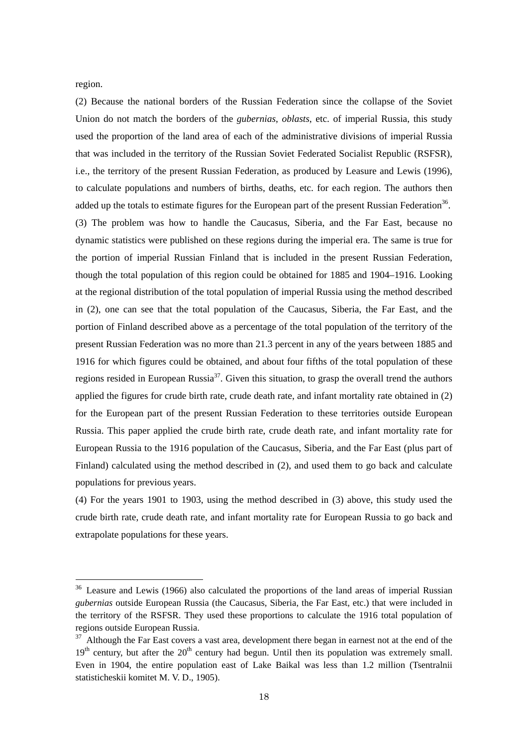region.

-

(2) Because the national borders of the Russian Federation since the collapse of the Soviet Union do not match the borders of the *gubernias*, *oblasts*, etc. of imperial Russia, this study used the proportion of the land area of each of the administrative divisions of imperial Russia that was included in the territory of the Russian Soviet Federated Socialist Republic (RSFSR), i.e., the territory of the present Russian Federation, as produced by Leasure and Lewis (1996), to calculate populations and numbers of births, deaths, etc. for each region. The authors then added up the totals to estimate figures for the European part of the present Russian Federation<sup>36</sup>. (3) The problem was how to handle the Caucasus, Siberia, and the Far East, because no dynamic statistics were published on these regions during the imperial era. The same is true for the portion of imperial Russian Finland that is included in the present Russian Federation, though the total population of this region could be obtained for 1885 and 1904–1916. Looking at the regional distribution of the total population of imperial Russia using the method described in (2), one can see that the total population of the Caucasus, Siberia, the Far East, and the portion of Finland described above as a percentage of the total population of the territory of the present Russian Federation was no more than 21.3 percent in any of the years between 1885 and 1916 for which figures could be obtained, and about four fifths of the total population of these regions resided in European Russia<sup>37</sup>. Given this situation, to grasp the overall trend the authors applied the figures for crude birth rate, crude death rate, and infant mortality rate obtained in (2) for the European part of the present Russian Federation to these territories outside European Russia. This paper applied the crude birth rate, crude death rate, and infant mortality rate for European Russia to the 1916 population of the Caucasus, Siberia, and the Far East (plus part of Finland) calculated using the method described in (2), and used them to go back and calculate populations for previous years.

(4) For the years 1901 to 1903, using the method described in (3) above, this study used the crude birth rate, crude death rate, and infant mortality rate for European Russia to go back and extrapolate populations for these years.

<sup>&</sup>lt;sup>36</sup> Leasure and Lewis (1966) also calculated the proportions of the land areas of imperial Russian *gubernias* outside European Russia (the Caucasus, Siberia, the Far East, etc.) that were included in the territory of the RSFSR. They used these proportions to calculate the 1916 total population of regions outside European Russia.

<sup>&</sup>lt;sup>37</sup> Although the Far East covers a vast area, development there began in earnest not at the end of the  $19<sup>th</sup>$  century, but after the  $20<sup>th</sup>$  century had begun. Until then its population was extremely small. Even in 1904, the entire population east of Lake Baikal was less than 1.2 million (Tsentralnii statisticheskii komitet M. V. D., 1905).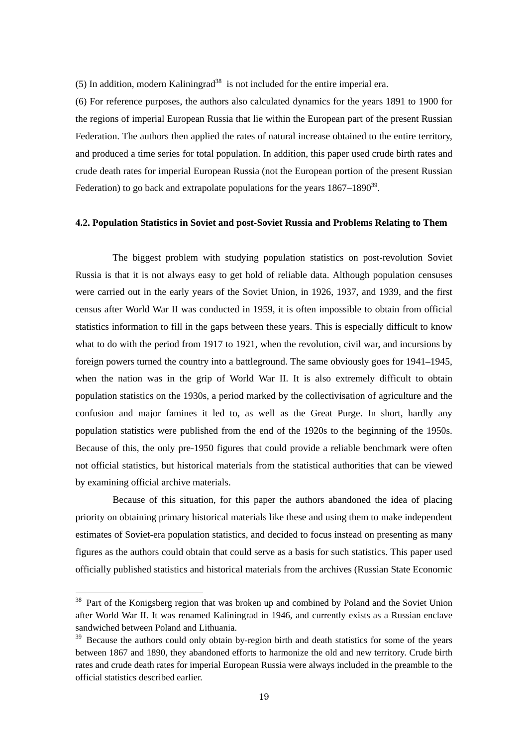(5) In addition, modern Kaliningrad<sup>38</sup> is not included for the entire imperial era.

(6) For reference purposes, the authors also calculated dynamics for the years 1891 to 1900 for the regions of imperial European Russia that lie within the European part of the present Russian Federation. The authors then applied the rates of natural increase obtained to the entire territory, and produced a time series for total population. In addition, this paper used crude birth rates and crude death rates for imperial European Russia (not the European portion of the present Russian Federation) to go back and extrapolate populations for the years  $1867-1890^{39}$ .

#### **4.2. Population Statistics in Soviet and post-Soviet Russia and Problems Relating to Them**

The biggest problem with studying population statistics on post-revolution Soviet Russia is that it is not always easy to get hold of reliable data. Although population censuses were carried out in the early years of the Soviet Union, in 1926, 1937, and 1939, and the first census after World War II was conducted in 1959, it is often impossible to obtain from official statistics information to fill in the gaps between these years. This is especially difficult to know what to do with the period from 1917 to 1921, when the revolution, civil war, and incursions by foreign powers turned the country into a battleground. The same obviously goes for 1941–1945, when the nation was in the grip of World War II. It is also extremely difficult to obtain population statistics on the 1930s, a period marked by the collectivisation of agriculture and the confusion and major famines it led to, as well as the Great Purge. In short, hardly any population statistics were published from the end of the 1920s to the beginning of the 1950s. Because of this, the only pre-1950 figures that could provide a reliable benchmark were often not official statistics, but historical materials from the statistical authorities that can be viewed by examining official archive materials.

 Because of this situation, for this paper the authors abandoned the idea of placing priority on obtaining primary historical materials like these and using them to make independent estimates of Soviet-era population statistics, and decided to focus instead on presenting as many figures as the authors could obtain that could serve as a basis for such statistics. This paper used officially published statistics and historical materials from the archives (Russian State Economic

<sup>&</sup>lt;sup>38</sup> Part of the Konigsberg region that was broken up and combined by Poland and the Soviet Union after World War II. It was renamed Kaliningrad in 1946, and currently exists as a Russian enclave sandwiched between Poland and Lithuania.

<sup>&</sup>lt;sup>39</sup> Because the authors could only obtain by-region birth and death statistics for some of the years between 1867 and 1890, they abandoned efforts to harmonize the old and new territory. Crude birth rates and crude death rates for imperial European Russia were always included in the preamble to the official statistics described earlier.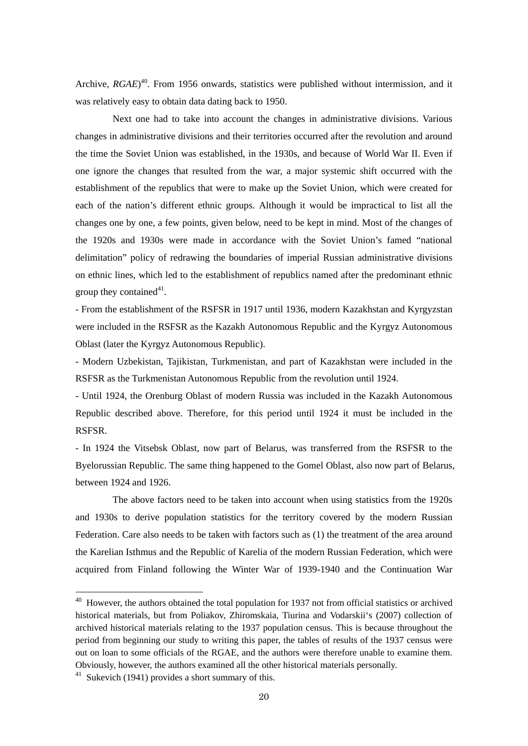Archive, *RGAE*<sup>40</sup>. From 1956 onwards, statistics were published without intermission, and it was relatively easy to obtain data dating back to 1950.

 Next one had to take into account the changes in administrative divisions. Various changes in administrative divisions and their territories occurred after the revolution and around the time the Soviet Union was established, in the 1930s, and because of World War II. Even if one ignore the changes that resulted from the war, a major systemic shift occurred with the establishment of the republics that were to make up the Soviet Union, which were created for each of the nation's different ethnic groups. Although it would be impractical to list all the changes one by one, a few points, given below, need to be kept in mind. Most of the changes of the 1920s and 1930s were made in accordance with the Soviet Union's famed "national delimitation" policy of redrawing the boundaries of imperial Russian administrative divisions on ethnic lines, which led to the establishment of republics named after the predominant ethnic group they contained $41$ .

- From the establishment of the RSFSR in 1917 until 1936, modern Kazakhstan and Kyrgyzstan were included in the RSFSR as the Kazakh Autonomous Republic and the Kyrgyz Autonomous Oblast (later the Kyrgyz Autonomous Republic).

- Modern Uzbekistan, Tajikistan, Turkmenistan, and part of Kazakhstan were included in the RSFSR as the Turkmenistan Autonomous Republic from the revolution until 1924.

- Until 1924, the Orenburg Oblast of modern Russia was included in the Kazakh Autonomous Republic described above. Therefore, for this period until 1924 it must be included in the RSFSR.

- In 1924 the Vitsebsk Oblast, now part of Belarus, was transferred from the RSFSR to the Byelorussian Republic. The same thing happened to the Gomel Oblast, also now part of Belarus, between 1924 and 1926.

The above factors need to be taken into account when using statistics from the 1920s and 1930s to derive population statistics for the territory covered by the modern Russian Federation. Care also needs to be taken with factors such as (1) the treatment of the area around the Karelian Isthmus and the Republic of Karelia of the modern Russian Federation, which were acquired from Finland following the Winter War of 1939-1940 and the Continuation War

 $40$  However, the authors obtained the total population for 1937 not from official statistics or archived historical materials, but from Poliakov, Zhiromskaia, Tiurina and Vodarskii's (2007) collection of archived historical materials relating to the 1937 population census. This is because throughout the period from beginning our study to writing this paper, the tables of results of the 1937 census were out on loan to some officials of the RGAE, and the authors were therefore unable to examine them. Obviously, however, the authors examined all the other historical materials personally.

<sup>41</sup> Sukevich (1941) provides a short summary of this.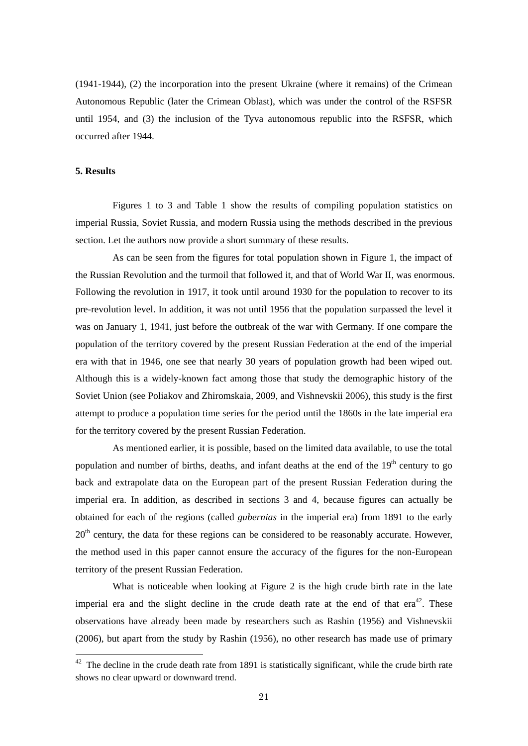(1941-1944), (2) the incorporation into the present Ukraine (where it remains) of the Crimean Autonomous Republic (later the Crimean Oblast), which was under the control of the RSFSR until 1954, and (3) the inclusion of the Tyva autonomous republic into the RSFSR, which occurred after 1944.

## **5. Results**

-

Figures 1 to 3 and Table 1 show the results of compiling population statistics on imperial Russia, Soviet Russia, and modern Russia using the methods described in the previous section. Let the authors now provide a short summary of these results.

 As can be seen from the figures for total population shown in Figure 1, the impact of the Russian Revolution and the turmoil that followed it, and that of World War II, was enormous. Following the revolution in 1917, it took until around 1930 for the population to recover to its pre-revolution level. In addition, it was not until 1956 that the population surpassed the level it was on January 1, 1941, just before the outbreak of the war with Germany. If one compare the population of the territory covered by the present Russian Federation at the end of the imperial era with that in 1946, one see that nearly 30 years of population growth had been wiped out. Although this is a widely-known fact among those that study the demographic history of the Soviet Union (see Poliakov and Zhiromskaia, 2009, and Vishnevskii 2006), this study is the first attempt to produce a population time series for the period until the 1860s in the late imperial era for the territory covered by the present Russian Federation.

 As mentioned earlier, it is possible, based on the limited data available, to use the total population and number of births, deaths, and infant deaths at the end of the  $19<sup>th</sup>$  century to go back and extrapolate data on the European part of the present Russian Federation during the imperial era. In addition, as described in sections 3 and 4, because figures can actually be obtained for each of the regions (called *gubernias* in the imperial era) from 1891 to the early  $20<sup>th</sup>$  century, the data for these regions can be considered to be reasonably accurate. However, the method used in this paper cannot ensure the accuracy of the figures for the non-European territory of the present Russian Federation.

 What is noticeable when looking at Figure 2 is the high crude birth rate in the late imperial era and the slight decline in the crude death rate at the end of that  $era^{42}$ . These observations have already been made by researchers such as Rashin (1956) and Vishnevskii (2006), but apart from the study by Rashin (1956), no other research has made use of primary

 $42$  The decline in the crude death rate from 1891 is statistically significant, while the crude birth rate shows no clear upward or downward trend.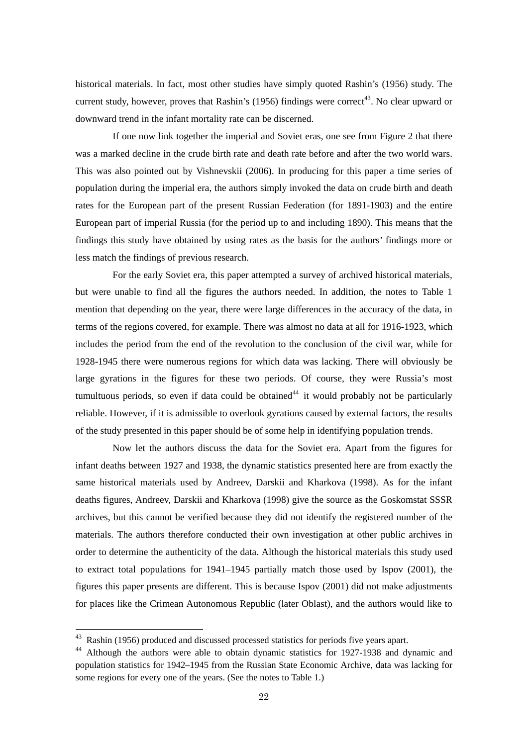historical materials. In fact, most other studies have simply quoted Rashin's (1956) study. The current study, however, proves that Rashin's (1956) findings were correct<sup>43</sup>. No clear upward or downward trend in the infant mortality rate can be discerned.

 If one now link together the imperial and Soviet eras, one see from Figure 2 that there was a marked decline in the crude birth rate and death rate before and after the two world wars. This was also pointed out by Vishnevskii (2006). In producing for this paper a time series of population during the imperial era, the authors simply invoked the data on crude birth and death rates for the European part of the present Russian Federation (for 1891-1903) and the entire European part of imperial Russia (for the period up to and including 1890). This means that the findings this study have obtained by using rates as the basis for the authors' findings more or less match the findings of previous research.

 For the early Soviet era, this paper attempted a survey of archived historical materials, but were unable to find all the figures the authors needed. In addition, the notes to Table 1 mention that depending on the year, there were large differences in the accuracy of the data, in terms of the regions covered, for example. There was almost no data at all for 1916-1923, which includes the period from the end of the revolution to the conclusion of the civil war, while for 1928-1945 there were numerous regions for which data was lacking. There will obviously be large gyrations in the figures for these two periods. Of course, they were Russia's most tumultuous periods, so even if data could be obtained<sup>44</sup> it would probably not be particularly reliable. However, if it is admissible to overlook gyrations caused by external factors, the results of the study presented in this paper should be of some help in identifying population trends.

 Now let the authors discuss the data for the Soviet era. Apart from the figures for infant deaths between 1927 and 1938, the dynamic statistics presented here are from exactly the same historical materials used by Andreev, Darskii and Kharkova (1998). As for the infant deaths figures, Andreev, Darskii and Kharkova (1998) give the source as the Goskomstat SSSR archives, but this cannot be verified because they did not identify the registered number of the materials. The authors therefore conducted their own investigation at other public archives in order to determine the authenticity of the data. Although the historical materials this study used to extract total populations for 1941–1945 partially match those used by Ispov (2001), the figures this paper presents are different. This is because Ispov (2001) did not make adjustments for places like the Crimean Autonomous Republic (later Oblast), and the authors would like to

<sup>&</sup>lt;sup>43</sup> Rashin (1956) produced and discussed processed statistics for periods five years apart.

<sup>&</sup>lt;sup>44</sup> Although the authors were able to obtain dynamic statistics for 1927-1938 and dynamic and population statistics for 1942–1945 from the Russian State Economic Archive, data was lacking for some regions for every one of the years. (See the notes to Table 1.)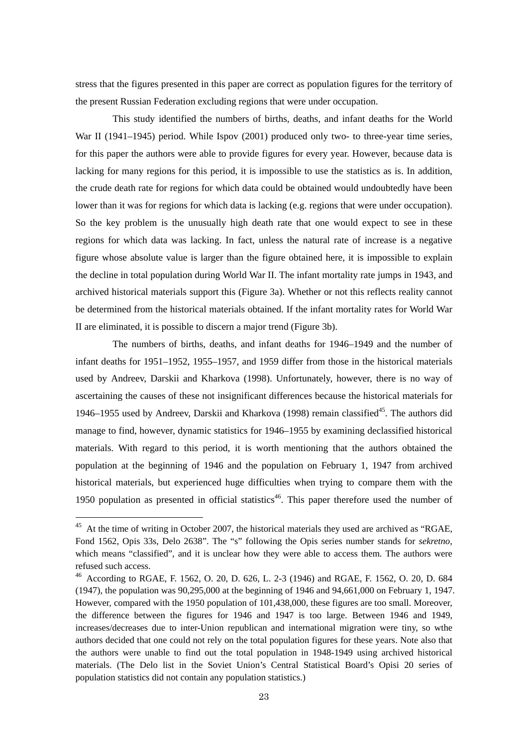stress that the figures presented in this paper are correct as population figures for the territory of the present Russian Federation excluding regions that were under occupation.

 This study identified the numbers of births, deaths, and infant deaths for the World War II (1941–1945) period. While Ispov (2001) produced only two- to three-year time series, for this paper the authors were able to provide figures for every year. However, because data is lacking for many regions for this period, it is impossible to use the statistics as is. In addition, the crude death rate for regions for which data could be obtained would undoubtedly have been lower than it was for regions for which data is lacking (e.g. regions that were under occupation). So the key problem is the unusually high death rate that one would expect to see in these regions for which data was lacking. In fact, unless the natural rate of increase is a negative figure whose absolute value is larger than the figure obtained here, it is impossible to explain the decline in total population during World War II. The infant mortality rate jumps in 1943, and archived historical materials support this (Figure 3a). Whether or not this reflects reality cannot be determined from the historical materials obtained. If the infant mortality rates for World War II are eliminated, it is possible to discern a major trend (Figure 3b).

 The numbers of births, deaths, and infant deaths for 1946–1949 and the number of infant deaths for 1951–1952, 1955–1957, and 1959 differ from those in the historical materials used by Andreev, Darskii and Kharkova (1998). Unfortunately, however, there is no way of ascertaining the causes of these not insignificant differences because the historical materials for 1946–1955 used by Andreev, Darskii and Kharkova (1998) remain classified<sup>45</sup>. The authors did manage to find, however, dynamic statistics for 1946–1955 by examining declassified historical materials. With regard to this period, it is worth mentioning that the authors obtained the population at the beginning of 1946 and the population on February 1, 1947 from archived historical materials, but experienced huge difficulties when trying to compare them with the 1950 population as presented in official statistics<sup>46</sup>. This paper therefore used the number of

 $45$  At the time of writing in October 2007, the historical materials they used are archived as "RGAE, Fond 1562, Opis 33s, Delo 2638". The "s" following the Opis series number stands for *sekretno*, which means "classified", and it is unclear how they were able to access them. The authors were refused such access.

<sup>46</sup> According to RGAE, F. 1562, O. 20, D. 626, L. 2-3 (1946) and RGAE, F. 1562, O. 20, D. 684 (1947), the population was 90,295,000 at the beginning of 1946 and 94,661,000 on February 1, 1947. However, compared with the 1950 population of 101,438,000, these figures are too small. Moreover, the difference between the figures for 1946 and 1947 is too large. Between 1946 and 1949, increases/decreases due to inter-Union republican and international migration were tiny, so wthe authors decided that one could not rely on the total population figures for these years. Note also that the authors were unable to find out the total population in 1948-1949 using archived historical materials. (The Delo list in the Soviet Union's Central Statistical Board's Opisi 20 series of population statistics did not contain any population statistics.)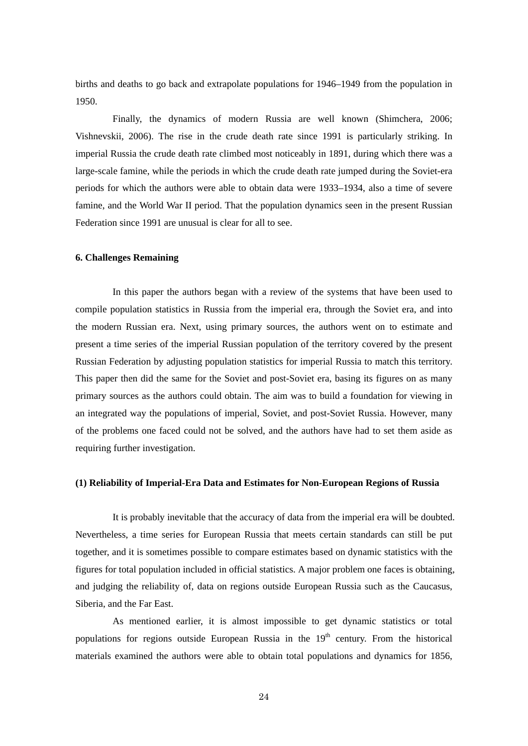births and deaths to go back and extrapolate populations for 1946–1949 from the population in 1950.

 Finally, the dynamics of modern Russia are well known (Shimchera, 2006; Vishnevskii, 2006). The rise in the crude death rate since 1991 is particularly striking. In imperial Russia the crude death rate climbed most noticeably in 1891, during which there was a large-scale famine, while the periods in which the crude death rate jumped during the Soviet-era periods for which the authors were able to obtain data were 1933–1934, also a time of severe famine, and the World War II period. That the population dynamics seen in the present Russian Federation since 1991 are unusual is clear for all to see.

#### **6. Challenges Remaining**

In this paper the authors began with a review of the systems that have been used to compile population statistics in Russia from the imperial era, through the Soviet era, and into the modern Russian era. Next, using primary sources, the authors went on to estimate and present a time series of the imperial Russian population of the territory covered by the present Russian Federation by adjusting population statistics for imperial Russia to match this territory. This paper then did the same for the Soviet and post-Soviet era, basing its figures on as many primary sources as the authors could obtain. The aim was to build a foundation for viewing in an integrated way the populations of imperial, Soviet, and post-Soviet Russia. However, many of the problems one faced could not be solved, and the authors have had to set them aside as requiring further investigation.

### **(1) Reliability of Imperial-Era Data and Estimates for Non-European Regions of Russia**

It is probably inevitable that the accuracy of data from the imperial era will be doubted. Nevertheless, a time series for European Russia that meets certain standards can still be put together, and it is sometimes possible to compare estimates based on dynamic statistics with the figures for total population included in official statistics. A major problem one faces is obtaining, and judging the reliability of, data on regions outside European Russia such as the Caucasus, Siberia, and the Far East.

 As mentioned earlier, it is almost impossible to get dynamic statistics or total populations for regions outside European Russia in the  $19<sup>th</sup>$  century. From the historical materials examined the authors were able to obtain total populations and dynamics for 1856,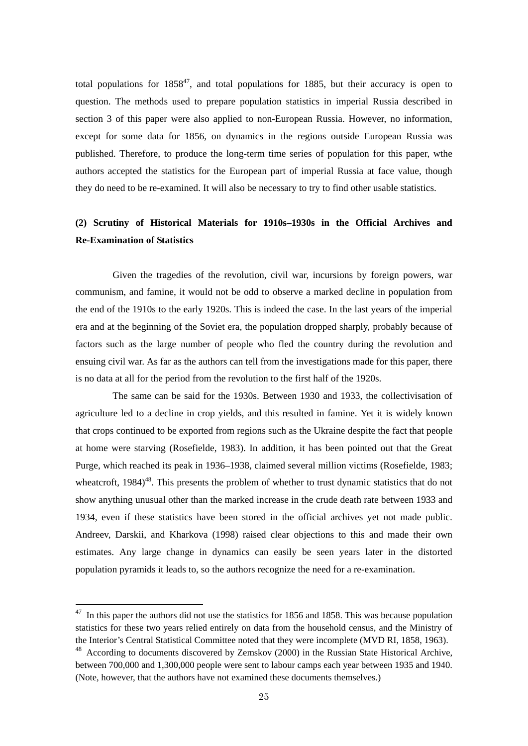total populations for  $1858^{47}$ , and total populations for 1885, but their accuracy is open to question. The methods used to prepare population statistics in imperial Russia described in section 3 of this paper were also applied to non-European Russia. However, no information, except for some data for 1856, on dynamics in the regions outside European Russia was published. Therefore, to produce the long-term time series of population for this paper, wthe authors accepted the statistics for the European part of imperial Russia at face value, though they do need to be re-examined. It will also be necessary to try to find other usable statistics.

## **(2) Scrutiny of Historical Materials for 1910s–1930s in the Official Archives and Re-Examination of Statistics**

Given the tragedies of the revolution, civil war, incursions by foreign powers, war communism, and famine, it would not be odd to observe a marked decline in population from the end of the 1910s to the early 1920s. This is indeed the case. In the last years of the imperial era and at the beginning of the Soviet era, the population dropped sharply, probably because of factors such as the large number of people who fled the country during the revolution and ensuing civil war. As far as the authors can tell from the investigations made for this paper, there is no data at all for the period from the revolution to the first half of the 1920s.

 The same can be said for the 1930s. Between 1930 and 1933, the collectivisation of agriculture led to a decline in crop yields, and this resulted in famine. Yet it is widely known that crops continued to be exported from regions such as the Ukraine despite the fact that people at home were starving (Rosefielde, 1983). In addition, it has been pointed out that the Great Purge, which reached its peak in 1936–1938, claimed several million victims (Rosefielde, 1983; wheatcroft,  $1984$ <sup>48</sup>. This presents the problem of whether to trust dynamic statistics that do not show anything unusual other than the marked increase in the crude death rate between 1933 and 1934, even if these statistics have been stored in the official archives yet not made public. Andreev, Darskii, and Kharkova (1998) raised clear objections to this and made their own estimates. Any large change in dynamics can easily be seen years later in the distorted population pyramids it leads to, so the authors recognize the need for a re-examination.

 $47$  In this paper the authors did not use the statistics for 1856 and 1858. This was because population statistics for these two years relied entirely on data from the household census, and the Ministry of the Interior's Central Statistical Committee noted that they were incomplete (MVD RI, 1858, 1963).

 $48$  According to documents discovered by Zemskov (2000) in the Russian State Historical Archive, between 700,000 and 1,300,000 people were sent to labour camps each year between 1935 and 1940. (Note, however, that the authors have not examined these documents themselves.)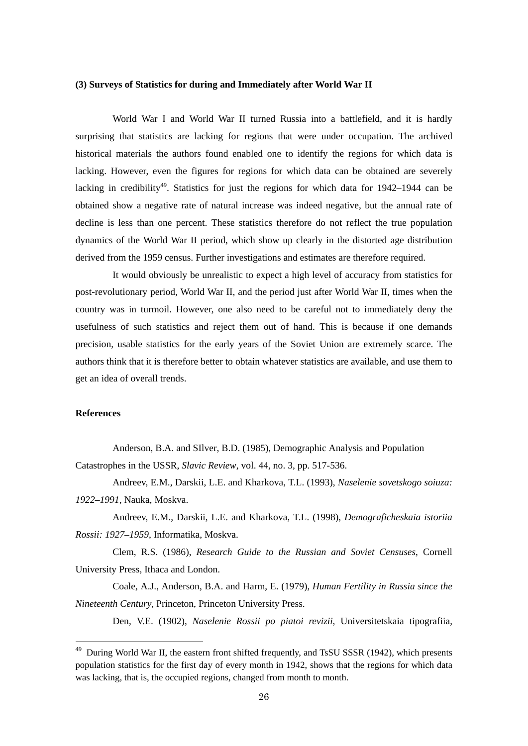### **(3) Surveys of Statistics for during and Immediately after World War II**

World War I and World War II turned Russia into a battlefield, and it is hardly surprising that statistics are lacking for regions that were under occupation. The archived historical materials the authors found enabled one to identify the regions for which data is lacking. However, even the figures for regions for which data can be obtained are severely lacking in credibility<sup>49</sup>. Statistics for just the regions for which data for  $1942-1944$  can be obtained show a negative rate of natural increase was indeed negative, but the annual rate of decline is less than one percent. These statistics therefore do not reflect the true population dynamics of the World War II period, which show up clearly in the distorted age distribution derived from the 1959 census. Further investigations and estimates are therefore required.

 It would obviously be unrealistic to expect a high level of accuracy from statistics for post-revolutionary period, World War II, and the period just after World War II, times when the country was in turmoil. However, one also need to be careful not to immediately deny the usefulness of such statistics and reject them out of hand. This is because if one demands precision, usable statistics for the early years of the Soviet Union are extremely scarce. The authors think that it is therefore better to obtain whatever statistics are available, and use them to get an idea of overall trends.

### **References**

-

Anderson, B.A. and SIlver, B.D. (1985), Demographic Analysis and Population Catastrophes in the USSR, *Slavic Review*, vol. 44, no. 3, pp. 517-536.

Andreev, E.M., Darskii, L.E. and Kharkova, T.L. (1993), *Naselenie sovetskogo soiuza: 1922–1991*, Nauka, Moskva.

Andreev, E.M., Darskii, L.E. and Kharkova, T.L. (1998), *Demograficheskaia istoriia Rossii: 1927–1959*, Informatika, Moskva.

Clem, R.S. (1986), *Research Guide to the Russian and Soviet Censuses*, Cornell University Press, Ithaca and London.

Coale, A.J., Anderson, B.A. and Harm, E. (1979), *Human Fertility in Russia since the Nineteenth Century*, Princeton, Princeton University Press.

Den, V.E. (1902), *Naselenie Rossii po piatoi revizii*, Universitetskaia tipografiia,

<sup>&</sup>lt;sup>49</sup> During World War II, the eastern front shifted frequently, and TsSU SSSR (1942), which presents population statistics for the first day of every month in 1942, shows that the regions for which data was lacking, that is, the occupied regions, changed from month to month.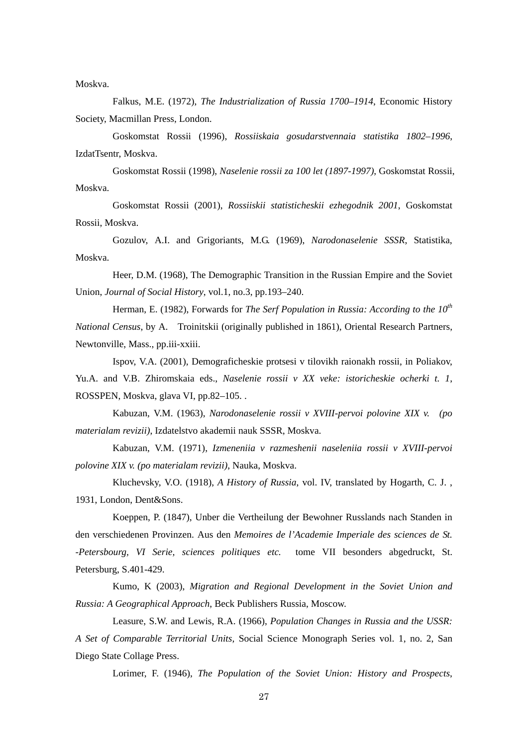Moskva.

Falkus, M.E. (1972), *The Industrialization of Russia 1700–1914*, Economic History Society, Macmillan Press, London.

Goskomstat Rossii (1996), *Rossiiskaia gosudarstvennaia statistika 1802–1996*, IzdatTsentr, Moskva.

Goskomstat Rossii (1998), *Naselenie rossii za 100 let (1897-1997)*, Goskomstat Rossii, Moskva.

Goskomstat Rossii (2001), *Rossiiskii statisticheskii ezhegodnik 2001*, Goskomstat Rossii, Moskva.

Gozulov, A.I. and Grigoriants, M.G. (1969), *Narodonaselenie SSSR*, Statistika, Moskva.

Heer, D.M. (1968), The Demographic Transition in the Russian Empire and the Soviet Union, *Journal of Social History*, vol.1, no.3, pp.193–240.

Herman, E. (1982), Forwards for *The Serf Population in Russia: According to the 10th National Census*, by A. Troinitskii (originally published in 1861), Oriental Research Partners, Newtonville, Mass., pp.iii-xxiii.

Ispov, V.A. (2001), Demograficheskie protsesi v tilovikh raionakh rossii, in Poliakov, Yu.A. and V.B. Zhiromskaia eds., *Naselenie rossii v XX veke: istoricheskie ocherki t. 1*, ROSSPEN, Moskva, glava VI, pp.82–105. .

Kabuzan, V.M. (1963), *Narodonaselenie rossii v XVIII-pervoi polovine XIX v. (po materialam revizii)*, Izdatelstvo akademii nauk SSSR, Moskva.

Kabuzan, V.M. (1971), *Izmeneniia v razmeshenii naseleniia rossii v XVIII-pervoi polovine XIX v. (po materialam revizii)*, Nauka, Moskva.

Kluchevsky, V.O. (1918), *A History of Russia*, vol. IV, translated by Hogarth, C. J. , 1931, London, Dent&Sons.

Koeppen, P. (1847), Unber die Vertheilung der Bewohner Russlands nach Standen in den verschiedenen Provinzen. Aus den *Memoires de l'Academie Imperiale des sciences de St. -Petersbourg, VI Serie, sciences politiques etc.* tome VII besonders abgedruckt, St. Petersburg, S.401-429.

Kumo, K (2003), *Migration and Regional Development in the Soviet Union and Russia: A Geographical Approach*, Beck Publishers Russia, Moscow.

Leasure, S.W. and Lewis, R.A. (1966), *Population Changes in Russia and the USSR: A Set of Comparable Territorial Units,* Social Science Monograph Series vol. 1, no. 2, San Diego State Collage Press.

Lorimer, F. (1946), *The Population of the Soviet Union: History and Prospects*,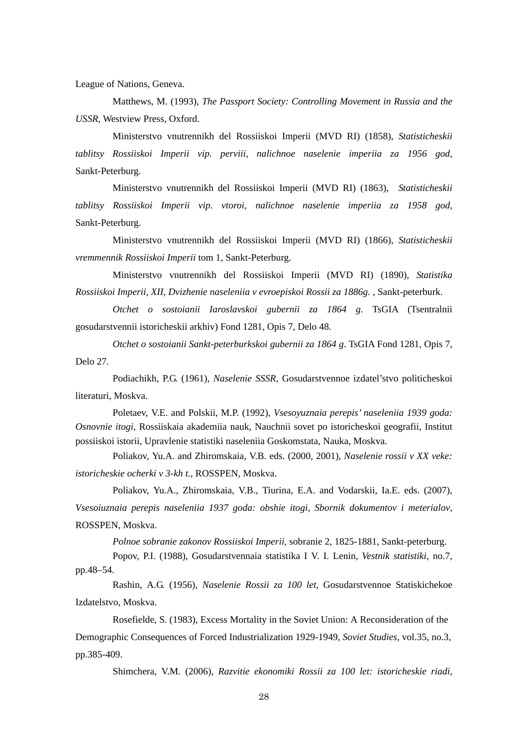League of Nations, Geneva.

 Matthews, M. (1993), *The Passport Society: Controlling Movement in Russia and the USSR*, Westview Press, Oxford.

 Ministerstvo vnutrennikh del Rossiiskoi Imperii (MVD RI) (1858), *Statisticheskii tablitsy Rossiiskoi Imperii vip. perviii, nalichnoe naselenie imperiia za 1956 god,*  Sankt-Peterburg.

Ministerstvo vnutrennikh del Rossiiskoi Imperii (MVD RI) (1863), *Statisticheskii tablitsy Rossiiskoi Imperii vip. vtoroi, nalichnoe naselenie imperiia za 1958 god,*  Sankt-Peterburg.

Ministerstvo vnutrennikh del Rossiiskoi Imperii (MVD RI) (1866), *Statisticheskii vremmennik Rossiiskoi Imperii* tom 1, Sankt-Peterburg.

Ministerstvo vnutrennikh del Rossiiskoi Imperii (MVD RI) (1890), *Statistika Rossiiskoi Imperii, XII, Dvizhenie naseleniia v evroepiskoi Rossii za 1886g.* , Sankt-peterburk.

*Otchet o sostoianii Iaroslavskoi gubernii za 1864 g*. TsGIA (Tsentralnii gosudarstvennii istoricheskii arkhiv) Fond 1281, Opis 7, Delo 48.

*Otchet o sostoianii Sankt-peterburkskoi gubernii za 1864 g*. TsGIA Fond 1281, Opis 7, Delo 27.

Podiachikh, P.G. (1961), *Naselenie SSSR,* Gosudarstvennoe izdatel'stvo politicheskoi literaturi, Moskva.

Poletaev, V.E. and Polskii, M.P. (1992), *Vsesoyuznaia perepis' naseleniia 1939 goda: Osnovnie itogi*, Rossiiskaia akademiia nauk, Nauchnii sovet po istoricheskoi geografii, Institut possiiskoi istorii, Upravlenie statistiki naseleniia Goskomstata, Nauka, Moskva.

Poliakov, Yu.A. and Zhiromskaia, V.B. eds. (2000, 2001), *Naselenie rossii v XX veke: istoricheskie ocherki v 3-kh t.*, ROSSPEN, Moskva.

Poliakov, Yu.A., Zhiromskaia, V.B., Tiurina, E.A. and Vodarskii, Ia.E. eds. (2007), *Vsesoiuznaia perepis naseleniia 1937 goda: obshie itogi, Sbornik dokumentov i meterialov*, ROSSPEN, Moskva.

*Polnoe sobranie zakonov Rossiiskoi Imperii,* sobranie 2, 1825-1881, Sankt-peterburg.

Popov, P.I. (1988), Gosudarstvennaia statistika I V. I. Lenin, *Vestnik statistiki*, no.7, pp.48–54.

Rashin, A.G. (1956), *Naselenie Rossii za 100 let*, Gosudarstvennoe Statiskichekoe Izdatelstvo, Moskva.

Rosefielde, S. (1983), Excess Mortality in the Soviet Union: A Reconsideration of the Demographic Consequences of Forced Industrialization 1929-1949, *Soviet Studies*, vol.35, no.3, pp.385-409.

Shimchera, V.M. (2006), *Razvitie ekonomiki Rossii za 100 let: istoricheskie riadi*,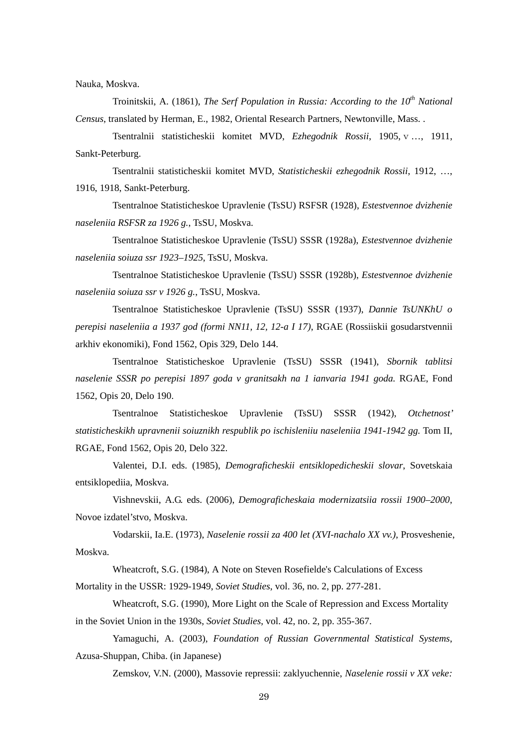Nauka, Moskva.

Troinitskii, A. (1861), *The Serf Population in Russia: According to the 10<sup>th</sup> National Census*, translated by Herman, E., 1982, Oriental Research Partners, Newtonville, Mass. .

Tsentralnii statisticheskii komitet MVD, *Ezhegodnik Rossii*, 1905, v …, 1911, Sankt-Peterburg.

Tsentralnii statisticheskii komitet MVD, *Statisticheskii ezhegodnik Rossii*, 1912, …, 1916, 1918, Sankt-Peterburg.

Tsentralnoe Statisticheskoe Upravlenie (TsSU) RSFSR (1928), *Estestvennoe dvizhenie naseleniia RSFSR za 1926 g.*, TsSU, Moskva.

Tsentralnoe Statisticheskoe Upravlenie (TsSU) SSSR (1928a), *Estestvennoe dvizhenie naseleniia soiuza ssr 1923–1925*, TsSU, Moskva.

Tsentralnoe Statisticheskoe Upravlenie (TsSU) SSSR (1928b), *Estestvennoe dvizhenie naseleniia soiuza ssr v 1926 g.*, TsSU, Moskva.

Tsentralnoe Statisticheskoe Upravlenie (TsSU) SSSR (1937), *Dannie TsUNKhU o perepisi naseleniia a 1937 god (formi NN11, 12, 12-a I 17)*, RGAE (Rossiiskii gosudarstvennii arkhiv ekonomiki), Fond 1562, Opis 329, Delo 144.

Tsentralnoe Statisticheskoe Upravlenie (TsSU) SSSR (1941), *Sbornik tablitsi naselenie SSSR po perepisi 1897 goda v granitsakh na 1 ianvaria 1941 goda.* RGAE, Fond 1562, Opis 20, Delo 190.

Tsentralnoe Statisticheskoe Upravlenie (TsSU) SSSR (1942), *Otchetnost' statisticheskikh upravnenii soiuznikh respublik po ischisleniiu naseleniia 1941-1942 gg.* Tom II, RGAE, Fond 1562, Opis 20, Delo 322.

Valentei, D.I. eds. (1985), *Demograficheskii entsiklopedicheskii slovar*, Sovetskaia entsiklopediia, Moskva.

Vishnevskii, A.G. eds. (2006), *Demograficheskaia modernizatsiia rossii 1900–2000*, Novoe izdatel'stvo, Moskva.

Vodarskii, Ia.E. (1973), *Naselenie rossii za 400 let (XVI-nachalo XX vv.)*, Prosveshenie, Moskva.

Wheatcroft, S.G. (1984), A Note on Steven Rosefielde's Calculations of Excess Mortality in the USSR: 1929-1949, *Soviet Studies*, vol. 36, no. 2, pp. 277-281.

Wheatcroft, S.G. (1990), More Light on the Scale of Repression and Excess Mortality in the Soviet Union in the 1930s, *Soviet Studies*, vol. 42, no. 2, pp. 355-367.

Yamaguchi, A. (2003), *Foundation of Russian Governmental Statistical Systems*, Azusa-Shuppan, Chiba. (in Japanese)

Zemskov, V.N. (2000), Massovie repressii: zaklyuchennie, *Naselenie rossii v XX veke:*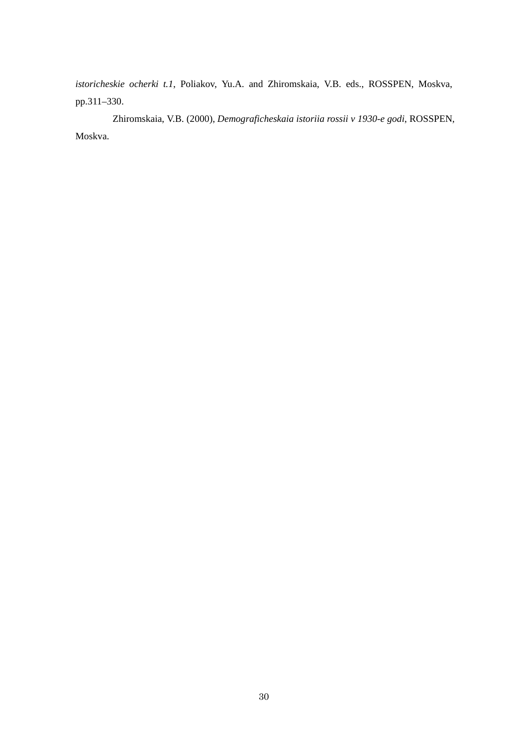*istoricheskie ocherki t.1*, Poliakov, Yu.A. and Zhiromskaia, V.B. eds., ROSSPEN, Moskva, pp.311–330.

Zhiromskaia, V.B. (2000), *Demograficheskaia istoriia rossii v 1930-e godi*, ROSSPEN, Moskva.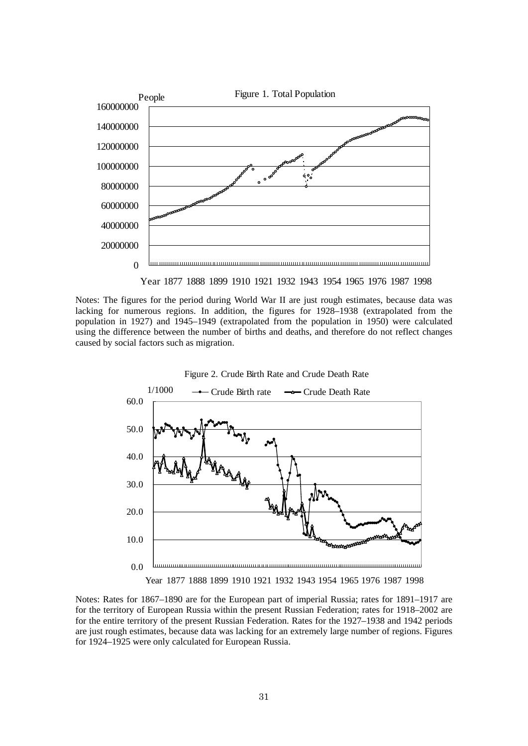

Notes: The figures for the period during World War II are just rough estimates, because data was lacking for numerous regions. In addition, the figures for 1928–1938 (extrapolated from the population in 1927) and 1945–1949 (extrapolated from the population in 1950) were calculated using the difference between the number of births and deaths, and therefore do not reflect changes caused by social factors such as migration.



Notes: Rates for 1867–1890 are for the European part of imperial Russia; rates for 1891–1917 are for the territory of European Russia within the present Russian Federation; rates for 1918–2002 are for the entire territory of the present Russian Federation. Rates for the 1927–1938 and 1942 periods are just rough estimates, because data was lacking for an extremely large number of regions. Figures for 1924–1925 were only calculated for European Russia.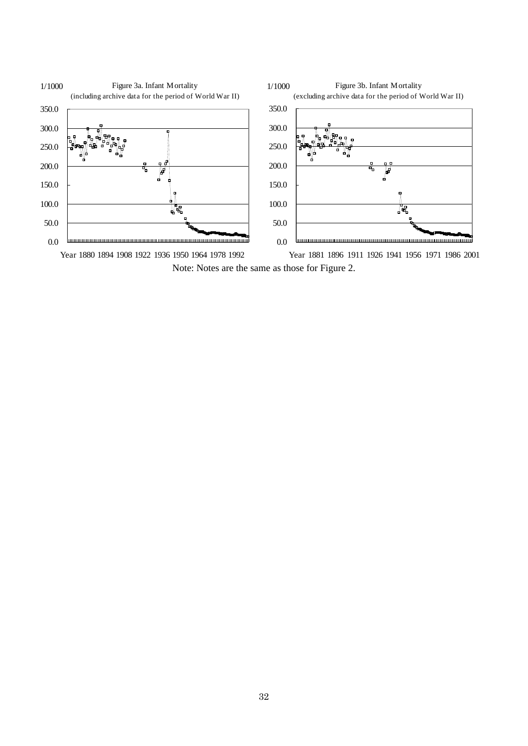

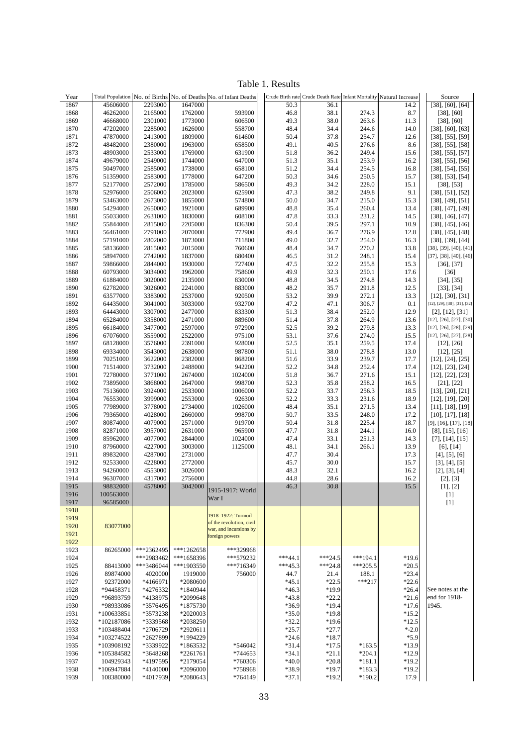Table 1. Results

| Year         |                      |                    |                    | Total Population No. of Births No. of Deaths No. of Infant Deaths |              |              |                | Crude Birth rate Crude Death Rate Infant Mortality Natural Increase | Source                                                   |
|--------------|----------------------|--------------------|--------------------|-------------------------------------------------------------------|--------------|--------------|----------------|---------------------------------------------------------------------|----------------------------------------------------------|
| 1867         | 45606000             | 2293000            | 1647000            |                                                                   | 50.3         | 36.1         |                | 14.2                                                                | [38], [60], [64]                                         |
| 1868         | 46262000             | 2165000            | 1762000            | 593900                                                            | 46.8         | 38.1         | 274.3          | 8.7                                                                 | $[38]$ , $[60]$                                          |
| 1869         | 46668000             | 2301000            | 1773000            | 606500                                                            | 49.3         | 38.0         | 263.6          | 11.3                                                                | $[38]$ , $[60]$                                          |
| 1870         | 47202000             | 2285000            | 1626000            | 558700                                                            | 48.4         | 34.4         | 244.6          | 14.0                                                                | $[38]$ , $[60]$ , $[63]$                                 |
| 1871         | 47870000             | 2413000            | 1809000            | 614600                                                            | 50.4         | 37.8         | 254.7          | 12.6                                                                | $[38]$ , [55], [59]                                      |
| 1872         | 48482000             | 2380000            | 1963000            | 658500                                                            | 49.1         | 40.5         | 276.6          | 8.6                                                                 | $[38]$ , $[55]$ , $[58]$                                 |
| 1873         | 48903000             | 2533000            | 1769000            | 631900                                                            | 51.8         | 36.2         | 249.4          | 15.6                                                                | $[38]$ , [55], [57]                                      |
| 1874         | 49679000             | 2549000            | 1744000            | 647000                                                            | 51.3         | 35.1         | 253.9          | 16.2                                                                | $[38]$ , [55], [56]                                      |
| 1875         | 50497000             | 2585000            | 1738000            | 658100                                                            | 51.2         | 34.4         | 254.5          | 16.8                                                                | $[38]$ , [54], [55]                                      |
| 1876         | 51359000             | 2583000            | 1778000            | 647200                                                            | 50.3         | 34.6         | 250.5          | 15.7                                                                | $[38]$ , [53], [54]                                      |
| 1877         | 52177000             | 2572000            | 1785000            | 586500                                                            | 49.3         | 34.2         | 228.0          | 15.1                                                                | $[38]$ , $[53]$                                          |
| 1878         | 52976000             | 2506000            | 2023000            | 625900                                                            | 47.3         | 38.2         | 249.8          | 9.1                                                                 | $[38]$ , [51], [52]                                      |
| 1879         | 53463000             | 2673000            | 1855000            | 574800                                                            | 50.0         | 34.7         | 215.0          | 15.3                                                                | $[38]$ , $[49]$ , $[51]$                                 |
| 1880         | 54294000             | 2650000            | 1921000<br>1830000 | 689900                                                            | 48.8<br>47.8 | 35.4         | 260.4          | 13.4<br>14.5                                                        | [38], [47], [49]                                         |
| 1881         | 55033000             | 2631000            | 2205000            | 608100                                                            |              | 33.3<br>39.5 | 231.2<br>297.1 | 10.9                                                                | $[38]$ , $[46]$ , $[47]$                                 |
| 1882         | 55844000             | 2815000            | 2070000            | 836300                                                            | 50.4<br>49.4 |              | 276.9          | 12.8                                                                | $[38]$ , $[45]$ , $[46]$                                 |
| 1883<br>1884 | 56461000<br>57191000 | 2791000            | 1873000            | 772900<br>711800                                                  | 49.0         | 36.7<br>32.7 | 254.0          | 16.3                                                                | $[38]$ , $[45]$ , $[48]$                                 |
|              |                      | 2802000            | 2015000            |                                                                   |              |              | 270.2          | 13.8                                                                | $[38]$ , [39], [44]<br>$[38]$ , $[39]$ , $[40]$ , $[41]$ |
| 1885<br>1886 | 58136000<br>58947000 | 2815000<br>2742000 | 1837000            | 760600<br>680400                                                  | 48.4<br>46.5 | 34.7<br>31.2 | 248.1          | 15.4                                                                | [37], [38], [40], [46]                                   |
| 1887         | 59866000             | 2844000            | 1930000            | 727400                                                            | 47.5         | 32.2         | 255.8          | 15.3                                                                | $[36]$ , $[37]$                                          |
| 1888         | 60793000             | 3034000            | 1962000            | 758600                                                            | 49.9         | 32.3         | 250.1          | 17.6                                                                | $[36]$                                                   |
| 1889         | 61884000             | 3020000            | 2135000            | 830000                                                            | 48.8         | 34.5         | 274.8          | 14.3                                                                | [34], [35]                                               |
| 1890         | 62782000             | 3026000            | 2241000            | 883000                                                            | 48.2         | 35.7         | 291.8          | 12.5                                                                | $[33]$ , $[34]$                                          |
| 1891         | 63577000             | 3383000            | 2537000            | 920500                                                            | 53.2         | 39.9         | 272.1          | 13.3                                                                | $[12]$ , $[30]$ , $[31]$                                 |
| 1892         | 64435000             | 3041000            | 3033000            | 932700                                                            | 47.2         | 47.1         | 306.7          | 0.1                                                                 | [12], [29], [30], [31], [32]                             |
| 1893         | 64443000             | 3307000            | 2477000            | 833300                                                            | 51.3         | 38.4         | 252.0          | 12.9                                                                | $[2]$ , $[12]$ , $[31]$                                  |
| 1894         | 65284000             | 3358000            | 2471000            | 889600                                                            | 51.4         | 37.8         | 264.9          | 13.6                                                                | [12], [26], [27], [30]                                   |
| 1895         | 66184000             | 3477000            | 2597000            | 972900                                                            | 52.5         | 39.2         | 279.8          | 13.3                                                                | $[12]$ , $[26]$ , $[28]$ , $[29]$                        |
| 1896         | 67076000             | 3559000            | 2522000            | 975100                                                            | 53.1         | 37.6         | 274.0          | 15.5                                                                | [12], [26], [27], [28]                                   |
| 1897         | 68128000             | 3576000            | 2391000            | 928000                                                            | 52.5         | 35.1         | 259.5          | 17.4                                                                | $[12]$ , $[26]$                                          |
| 1898         | 69334000             | 3543000            | 2638000            | 987800                                                            | 51.1         | 38.0         | 278.8          | 13.0                                                                | $[12]$ , $[25]$                                          |
| 1899         | 70251000             | 3622000            | 2382000            | 868200                                                            | 51.6         | 33.9         | 239.7          | 17.7                                                                | [12], [24], [25]                                         |
| 1900         | 71514000             | 3732000            | 2488000            | 942200                                                            | 52.2         | 34.8         | 252.4          | 17.4                                                                | [12], [23], [24]                                         |
| 1901         | 72780000             | 3771000            | 2674000            | 1024000                                                           | 51.8         | 36.7         | 271.6          | 15.1                                                                | [12], [22], [23]                                         |
| 1902         | 73895000             | 3868000            | 2647000            | 998700                                                            | 52.3         | 35.8         | 258.2          | 16.5                                                                | $[21]$ , $[22]$                                          |
| 1903         | 75136000             | 3924000            | 2533000            | 1006000                                                           | 52.2         | 33.7         | 256.3          | 18.5                                                                | $[13]$ , $[20]$ , $[21]$                                 |
| 1904         | 76553000             | 3999000            | 2553000            | 926300                                                            | 52.2         | 33.3         | 231.6          | 18.9                                                                | [12], [19], [20]                                         |
| 1905         | 77989000             | 3778000            | 2734000            | 1026000                                                           | 48.4         | 35.1         | 271.5          | 13.4                                                                | [11], [18], [19]                                         |
| 1906         | 79365000             | 4028000            | 2660000            | 998700                                                            | 50.7         | 33.5         | 248.0          | 17.2                                                                | [10], [17], [18]                                         |
| 1907         | 80874000             | 4079000            | 2571000            | 919700                                                            | 50.4         | 31.8         | 225.4          | 18.7                                                                | $[9]$ , [16], [17], [18]                                 |
| 1908         | 82871000             | 3957000            | 2631000            | 965900                                                            | 47.7         | 31.8         | 244.1          | 16.0                                                                | $[8]$ , [15], [16]                                       |
| 1909         | 85962000             | 4077000            | 2844000            | 1024000                                                           | 47.4         | 33.1         | 251.3          | 14.3                                                                | [7], [14], [15]                                          |
| 1910         | 87960000             | 4227000            | 3003000            | 1125000                                                           | 48.1         | 34.1         | 266.1          | 13.9                                                                | $[6]$ , $[14]$                                           |
| 1911         | 89832000             | 4287000            | 2731000            |                                                                   | 47.7         | 30.4         |                | 17.3                                                                | [4], [5], [6]                                            |
| 1912         | 92533000             | 4228000            | 2772000            |                                                                   | 45.7         | 30.0         |                | 15.7                                                                | [3], [4], [5]                                            |
| 1913         | 94260000             | 4553000            | 3026000            |                                                                   | 48.3         | 32.1         |                | 16.2                                                                | [2], [3], [4]                                            |
| 1914         | 96307000             | 4317000            | 2756000            |                                                                   | 44.8         | 28.6         |                | 16.2                                                                | [2], [3]                                                 |
| 1915         | 98832000             | 4578000            | 3042000            | 1915-1917: World                                                  | 46.3         | 30.8         |                | 15.5                                                                | [1], [2]                                                 |
| 1916         | 100563000            |                    |                    | War I                                                             |              |              |                |                                                                     | $[1]$                                                    |
| 1917         | 96585000             |                    |                    |                                                                   |              |              |                |                                                                     | $[1]$                                                    |
| 1918         |                      |                    |                    |                                                                   |              |              |                |                                                                     |                                                          |
| 1919         |                      |                    |                    | 1918-1922: Turmoil<br>of the revolution, civil                    |              |              |                |                                                                     |                                                          |
| 1920         | 83077000             |                    |                    | war, and incursions by                                            |              |              |                |                                                                     |                                                          |
| 1921         |                      |                    |                    | foreign powers                                                    |              |              |                |                                                                     |                                                          |
| 1922         |                      |                    |                    |                                                                   |              |              |                |                                                                     |                                                          |
| 1923         | 86265000             | ***2362495         | ***1262658         | ***329968                                                         |              |              |                |                                                                     |                                                          |
| 1924         |                      | ***2983462         | ***1658396         | ***579232                                                         | $***44.1$    | $***24.5$    | $***194.1$     | $*19.6$                                                             |                                                          |
| 1925         | 88413000             | ***3486044         | ***1903550         | ***716349                                                         | $***45.3$    | $***24.8$    | $***205.5$     | $*20.5$                                                             |                                                          |
| 1926         | 89874000             | 4020000            | 1919000            | 756000                                                            | 44.7         | 21.4         | 188.1          | $*23.4$                                                             |                                                          |
| 1927         | 92372000             | *4166971           | *2080600           |                                                                   | $*45.1$      | $*22.5$      | $***217$       | $*22.6$                                                             |                                                          |
| 1928         | *94458371            | *4276332           | *1840944           |                                                                   | $*46.3$      | *19.9        |                | $*26.4$                                                             | See notes at the                                         |
| 1929         | *96893759            | *4138975           | *2099648           |                                                                   | $*43.8$      | $*22.2$      |                | $*21.6$                                                             | end for 1918-                                            |
| 1930         | *98933086            | *3576495           | *1875730           |                                                                   | *36.9        | $*19.4$      |                | $*17.6$                                                             | 1945.                                                    |
| 1931         | *100633851           | *3573238           | *2020003           |                                                                   | $*35.0$      | $*19.8$      |                | $*15.2$                                                             |                                                          |
| 1932         | *102187086           | *3339568           | *2038250           |                                                                   | $*32.2$      | $*19.6$      |                | $*12.5$                                                             |                                                          |
| 1933         | *103488404           | *2706729           | *2920611           |                                                                   | $*25.7$      | $*27.7$      |                | $* -2.0$                                                            |                                                          |
| 1934         | *103274522           | *2627899           | *1994229           |                                                                   | $*24.6$      | $*18.7$      |                | $*5.9$                                                              |                                                          |
| 1935         | *103908192           | *3339922           | *1863532           | *546042                                                           | $*31.4$      | $*17.5$      | $*163.5$       | $*13.9$                                                             |                                                          |
| 1936         | *105384582           | *3648268           | *2261761           | *744653                                                           | $*34.1$      | $*21.1$      | $*204.1$       | $*12.9$                                                             |                                                          |
| 1937         | 104929343            | *4197595           | *2179054           | *760306                                                           | $*40.0$      | $*20.8$      | $*181.1$       | $*19.2$                                                             |                                                          |
| 1938         | *106947884           | *4140000           | *2096000           | *758968                                                           | *38.9        | $*19.7$      | $*183.3$       | $*19.2$                                                             |                                                          |
| 1939         | 108380000            | *4017939           | *2080643           | *764149                                                           | $*37.1$      | $*19.2$      | *190.2         | 17.9                                                                |                                                          |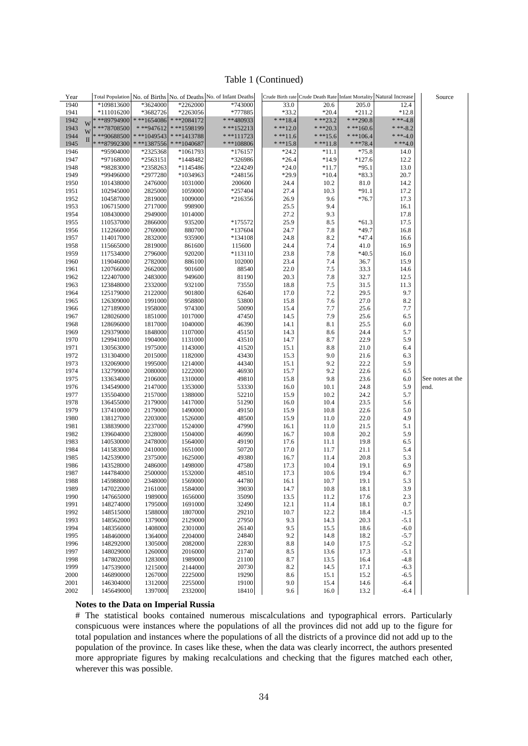#### Table 1 (Continued)

| Year         |                        |                    |                    | Total Population No. of Births No. of Deaths No. of Infant Deaths |              |              |               | Crude Birth rate Crude Death Rate Infant Mortality Natural Increase | Source           |
|--------------|------------------------|--------------------|--------------------|-------------------------------------------------------------------|--------------|--------------|---------------|---------------------------------------------------------------------|------------------|
| 1940         | *109813600             | *3624000           | *2262000           | *743000                                                           | 33.0         | 20.6         | 205.0         | 12.4                                                                |                  |
| 1941         | *111016200             | *3682726           | *2263056           | *777885                                                           | $*33.2$      | $*20.4$      | $*211.2$      | $*12.8$                                                             |                  |
| 1942         | ***89794900<br>W       | $* * * 1654086$    | $***2084172$       | ***480933                                                         | $***18.4$    | $***23.2$    | $***290.8$    | * **-4.8                                                            |                  |
| 1943         | $***78708500$<br>W     | ***947612          | ***1598199         | $* * * 152213$                                                    | * **12.0     | $***20.3$    | $***160.6$    | * **-8.2                                                            |                  |
| 1944         | ***90688500<br>П       | $* * 1049543$      | $***1413788$       | $***111723$                                                       | $***11.6$    | $***15.6$    | $* * * 106.4$ | * **-4.0                                                            |                  |
| 1945         | ***87992300            | $* * * 1387556$    | $***1040687$       | $***108806$                                                       | $***15.8$    | $***11.8$    | $***78.4$     | * **4.0                                                             |                  |
| 1946         | *95904000              | *2325368           | *1061793           | $*176157$                                                         | $*24.2$      | $*11.1$      | $*75.8$       | 14.0                                                                |                  |
| 1947         | *97168000              | *2563151           | *1448482           | *326986                                                           | $*26.4$      | $*14.9$      | $*127.6$      | 12.2                                                                |                  |
| 1948         | *98283000              | *2358263           | *1145486           | *224249                                                           | $*24.0$      | $*11.7$      | $*95.1$       | 13.0                                                                |                  |
| 1949         | *99496000              | *2977280           | *1034963           | *248156                                                           | $*29.9$      | $*10.4$      | $*83.3$       | 20.7                                                                |                  |
| 1950         | 101438000              | 2476000            | 1031000            | 200600                                                            | 24.4         | 10.2         | 81.0          | 14.2                                                                |                  |
| 1951         | 102945000              | 2825000            | 1059000            | *257404                                                           | 27.4         | 10.3         | $*91.1$       | 17.2                                                                |                  |
| 1952         | 104587000              | 2819000            | 1009000            | *216356                                                           | 26.9         | 9.6          | $*76.7$       | 17.3                                                                |                  |
| 1953         | 106715000              | 2717000            | 998900             |                                                                   | 25.5         | 9.4          |               | 16.1                                                                |                  |
| 1954         | 108430000              | 2949000            | 1014000            |                                                                   | 27.2         | 9.3          |               | 17.8                                                                |                  |
| 1955         | 110537000              | 2866000            | 935200             | *175572                                                           | 25.9         | 8.5          | $*61.3$       | 17.5                                                                |                  |
| 1956         | 112266000              | 2769000            | 880700             | *137604                                                           | 24.7         | 7.8          | $*49.7$       | 16.8                                                                |                  |
| 1957         | 114017000              | 2832000            | 935900             | *134108                                                           | 24.8         | 8.2          | $*47.4$       | 16.6                                                                |                  |
| 1958         | 115665000              | 2819000            | 861600             | 115600                                                            | 24.4         | 7.4          | 41.0          | 16.9                                                                |                  |
| 1959         | 117534000              | 2796000            | 920200             | *113110                                                           | 23.8         | 7.8          | $*40.5$       | 16.0                                                                |                  |
| 1960         | 119046000              | 2782000            | 886100             | 102000                                                            | 23.4         | 7.4          | 36.7          | 15.9                                                                |                  |
| 1961         | 120766000              | 2662000            | 901600             | 88540                                                             | 22.0         | 7.5          | 33.3          | 14.6                                                                |                  |
| 1962         | 122407000              | 2483000            | 949600             | 81190                                                             | 20.3         | 7.8          | 32.7          | 12.5                                                                |                  |
| 1963         | 123848000              | 2332000            | 932100             | 73550                                                             | 18.8         | 7.5          | 31.5          | 11.3                                                                |                  |
| 1964         | 125179000              | 2122000            | 901800             | 62640                                                             | 17.0         | 7.2          | 29.5          | 9.7                                                                 |                  |
| 1965         | 126309000              | 1991000            | 958800             | 53800                                                             | 15.8         | 7.6          | 27.0          | 8.2                                                                 |                  |
| 1966         | 127189000              | 1958000            | 974300             | 50090                                                             | 15.4         | 7.7          | 25.6          | 7.7                                                                 |                  |
| 1967         | 128026000              | 1851000            | 1017000            | 47450                                                             | 14.5         | 7.9          | 25.6          | 6.5                                                                 |                  |
| 1968         | 128696000              | 1817000            | 1040000            | 46390                                                             | 14.1         | 8.1          | 25.5          | 6.0                                                                 |                  |
| 1969         | 129379000              | 1848000            | 1107000            | 45150                                                             | 14.3         | 8.6          | 24.4          | 5.7                                                                 |                  |
| 1970         | 129941000              | 1904000            | 1131000            | 43510                                                             | 14.7         | 8.7          | 22.9          | 5.9                                                                 |                  |
| 1971         | 130563000              | 1975000            | 1143000            | 41520                                                             | 15.1         | 8.8          | 21.0          | 6.4                                                                 |                  |
| 1972         | 131304000              | 2015000            | 1182000            | 43430                                                             | 15.3         | 9.0          | 21.6          | 6.3                                                                 |                  |
| 1973         | 132069000              | 1995000            | 1214000            | 44340                                                             | 15.1         | 9.2          | 22.2          | 5.9                                                                 |                  |
| 1974         | 132799000              | 2080000            | 1222000            | 46930                                                             | 15.7         | 9.2          | 22.6          | 6.5                                                                 |                  |
| 1975         | 133634000              | 2106000            | 1310000            | 49810                                                             | 15.8         | 9.8          | 23.6          | 6.0                                                                 | See notes at the |
| 1976         | 134549000              | 2147000            | 1353000            | 53330                                                             | 16.0         | 10.1         | 24.8          | 5.9                                                                 | end.             |
| 1977         | 135504000              | 2157000            | 1388000            | 52210                                                             | 15.9         | 10.2         | 24.2          | 5.7                                                                 |                  |
| 1978         | 136455000              | 2179000            | 1417000            | 51290                                                             | 16.0         | 10.4         | 23.5          | 5.6                                                                 |                  |
| 1979         | 137410000              | 2179000            | 1490000            | 49150                                                             | 15.9         | 10.8         | 22.6          | 5.0                                                                 |                  |
| 1980         | 138127000              | 2203000            | 1526000            | 48500                                                             | 15.9         | 11.0         | 22.0          | 4.9                                                                 |                  |
| 1981         | 138839000              | 2237000            | 1524000            | 47990<br>46990                                                    | 16.1         | 11.0         | 21.5          | 5.1                                                                 |                  |
| 1982         | 139604000              | 2328000            | 1504000            |                                                                   | 16.7         | 10.8         | 20.2          | 5.9                                                                 |                  |
| 1983<br>1984 | 140530000<br>141583000 | 2478000<br>2410000 | 1564000<br>1651000 | 49190<br>50720                                                    | 17.6<br>17.0 | 11.1<br>11.7 | 19.8<br>21.1  | 6.5<br>5.4                                                          |                  |
| 1985         | 142539000              | 2375000            | 1625000            | 49380                                                             | 16.7         | 11.4         | 20.8          | 5.3                                                                 |                  |
| 1986         | 143528000              | 2486000            | 1498000            | 47580                                                             | 17.3         | 10.4         | 19.1          | 6.9                                                                 |                  |
| 1987         | 144784000              | 2500000            | 1532000            | 48510                                                             | 17.3         | 10.6         | 19.4          | 6.7                                                                 |                  |
| 1988         | 145988000              | 2348000            | 1569000            | 44780                                                             | 16.1         | 10.7         | 19.1          | 5.3                                                                 |                  |
| 1989         | 147022000              | 2161000            | 1584000            | 39030                                                             | 14.7         | 10.8         | 18.1          | 3.9                                                                 |                  |
| 1990         | 147665000              | 1989000            | 1656000            | 35090                                                             | 13.5         | 11.2         | 17.6          | 2.3                                                                 |                  |
| 1991         | 148274000              | 1795000            | 1691000            | 32490                                                             | 12.1         | 11.4         | 18.1          | 0.7                                                                 |                  |
| 1992         | 148515000              | 1588000            | 1807000            | 29210                                                             | 10.7         | 12.2         | 18.4          | $-1.5$                                                              |                  |
| 1993         | 148562000              | 1379000            | 2129000            | 27950                                                             | 9.3          | 14.3         | 20.3          | $-5.1$                                                              |                  |
| 1994         | 148356000              | 1408000            | 2301000            | 26140                                                             | 9.5          | 15.5         | 18.6          | $-6.0$                                                              |                  |
| 1995         | 148460000              | 1364000            | 2204000            | 24840                                                             | 9.2          | 14.8         | 18.2          | $-5.7$                                                              |                  |
| 1996         | 148292000              | 1305000            | 2082000            | 22830                                                             | 8.8          | 14.0         | 17.5          | $-5.2$                                                              |                  |
| 1997         | 148029000              | 1260000            | 2016000            | 21740                                                             | 8.5          | 13.6         | 17.3          | $-5.1$                                                              |                  |
| 1998         | 147802000              | 1283000            | 1989000            | 21100                                                             | 8.7          | 13.5         | 16.4          | $-4.8$                                                              |                  |
| 1999         | 147539000              | 1215000            | 2144000            | 20730                                                             | 8.2          | 14.5         | 17.1          | $-6.3$                                                              |                  |
| 2000         | 146890000              | 1267000            | 2225000            | 19290                                                             | 8.6          | 15.1         | 15.2          | $-6.5$                                                              |                  |
| 2001         | 146304000              | 1312000            | 2255000            | 19100                                                             | 9.0          | 15.4         | 14.6          | $-6.4$                                                              |                  |
| 2002         | 145649000              | 1397000            | 2332000            | 18410                                                             | 9.6          | 16.0         | 13.2          | $-6.4$                                                              |                  |

#### **Notes to the Data on Imperial Russia**

# The statistical books contained numerous miscalculations and typographical errors. Particularly conspicuous were instances where the populations of all the provinces did not add up to the figure for total population and instances where the populations of all the districts of a province did not add up to the population of the province. In cases like these, when the data was clearly incorrect, the authors presented more appropriate figures by making recalculations and checking that the figures matched each other, wherever this was possible.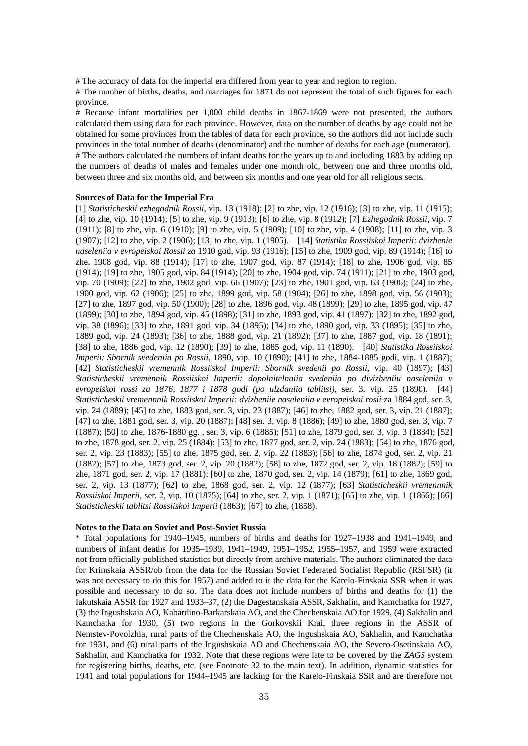# The accuracy of data for the imperial era differed from year to year and region to region.

# The number of births, deaths, and marriages for 1871 do not represent the total of such figures for each province.

# Because infant mortalities per 1,000 child deaths in 1867-1869 were not presented, the authors calculated them using data for each province. However, data on the number of deaths by age could not be obtained for some provinces from the tables of data for each province, so the authors did not include such provinces in the total number of deaths (denominator) and the number of deaths for each age (numerator). # The authors calculated the numbers of infant deaths for the years up to and including 1883 by adding up the numbers of deaths of males and females under one month old, between one and three months old, between three and six months old, and between six months and one year old for all religious sects.

#### **Sources of Data for the Imperial Era**

[1] *Statisticheskii ezhegodnik Rossii*, vip. 13 (1918); [2] to zhe, vip. 12 (1916); [3] to zhe, vip. 11 (1915); [4] to zhe, vip. 10 (1914); [5] to zhe, vip. 9 (1913); [6] to zhe, vip. 8 (1912); [7] *Ezhegodnik Rossii*, vip. 7 (1911); [8] to zhe, vip. 6 (1910); [9] to zhe, vip. 5 (1909); [10] to zhe, vip. 4 (1908); [11] to zhe, vip. 3 (1907); [12] to zhe, vip. 2 (1906); [13] to zhe, vip. 1 (1905). [14] *Statistika Rossiiskoi Imperii: dvizhenie naseleniia v evropeiskoi Rossii za* 1910 god, vip. 93 (1916); [15] to zhe, 1909 god, vip. 89 (1914); [16] to zhe, 1908 god, vip. 88 (1914); [17] to zhe, 1907 god, vip. 87 (1914); [18] to zhe, 1906 god, vip. 85 (1914); [19] to zhe, 1905 god, vip. 84 (1914); [20] to zhe, 1904 god, vip. 74 (1911); [21] to zhe, 1903 god, vip. 70 (1909); [22] to zhe, 1902 god, vip. 66 (1907); [23] to zhe, 1901 god, vip. 63 (1906); [24] to zhe, 1900 god, vip. 62 (1906); [25] to zhe, 1899 god, vip. 58 (1904); [26] to zhe, 1898 god, vip. 56 (1903); [27] to zhe, 1897 god, vip. 50 (1900); [28] to zhe, 1896 god, vip. 48 (1899); [29] to zhe, 1895 god, vip. 47 (1899); [30] to zhe, 1894 god, vip. 45 (1898); [31] to zhe, 1893 god, vip. 41 (1897): [32] to zhe, 1892 god, vip. 38 (1896); [33] to zhe, 1891 god, vip. 34 (1895); [34] to zhe, 1890 god, vip. 33 (1895); [35] to zhe, 1889 god, vip. 24 (1893); [36] to zhe, 1888 god, vip. 21 (1892); [37] to zhe, 1887 god, vip. 18 (1891); [38] to zhe, 1886 god, vip. 12 (1890); [39] to zhe, 1885 god, vip. 11 (1890). [40] *Statistika Rossiiskoi Imperii: Sbornik svedeniia po Rossii*, 1890, vip. 10 (1890); [41] to zhe, 1884-1885 godi, vip. 1 (1887); [42] *Statisticheskii vremennik Rossiiskoi Imperii: Sbornik svedenii po Rossii*, vip. 40 (1897); [43] *Statisticheskii vremennik Rossiiskoi Imperii: dopolnitelnaiia svedeniia po divizheniiu naseleniia v evropeiskoi rossi za 1876, 1877 i 1878 godi (po ulzdaniia tablitsi)*, ser. 3, vip. 25 (1890). [44] *Statisticheskii vremennnik Rossiiskoi Imperii: dvizheniie naseleniia v evropeiskoi rosii* za 1884 god, ser. 3, vip. 24 (1889); [45] to zhe, 1883 god, ser. 3, vip. 23 (1887); [46] to zhe, 1882 god, ser. 3, vip. 21 (1887); [47] to zhe, 1881 god, ser. 3, vip. 20 (1887); [48] ser. 3, vip. 8 (1886); [49] to zhe, 1880 god, ser. 3, vip. 7 (1887); [50] to zhe, 1876-1880 gg. , ser. 3, vip. 6 (1885); [51] to zhe, 1879 god, ser. 3, vip. 3 (1884); [52] to zhe, 1878 god, ser. 2, vip. 25 (1884); [53] to zhe, 1877 god, ser. 2, vip. 24 (1883); [54] to zhe, 1876 god, ser. 2, vip. 23 (1883); [55] to zhe, 1875 god, ser. 2, vip. 22 (1883); [56] to zhe, 1874 god, ser. 2, vip. 21 (1882); [57] to zhe, 1873 god, ser. 2, vip. 20 (1882); [58] to zhe, 1872 god, ser. 2, vip. 18 (1882); [59] to zhe, 1871 god, ser. 2, vip. 17 (1881); [60] to zhe, 1870 god, ser. 2, vip. 14 (1879); [61] to zhe, 1869 god, ser. 2, vip. 13 (1877); [62] to zhe, 1868 god, ser. 2, vip. 12 (1877); [63] *Statisticheskii vremennnik Rossiiskoi Imperii*, ser. 2, vip. 10 (1875); [64] to zhe, ser. 2, vip. 1 (1871); [65] to zhe, vip. 1 (1866); [66] *Statisticheskii tablitsi Rossiiskoi Imperii* (1863); [67] to zhe, (1858).

#### **Notes to the Data on Soviet and Post-Soviet Russia**

\* Total populations for 1940–1945, numbers of births and deaths for 1927–1938 and 1941–1949, and numbers of infant deaths for 1935–1939, 1941–1949, 1951–1952, 1955–1957, and 1959 were extracted not from officially published statistics but directly from archive materials. The authors eliminated the data for Krimskaia ASSR/ob from the data for the Russian Soviet Federated Socialist Republic (RSFSR) (it was not necessary to do this for 1957) and added to it the data for the Karelo-Finskaia SSR when it was possible and necessary to do so. The data does not include numbers of births and deaths for (1) the Iakutskaia ASSR for 1927 and 1933–37, (2) the Dagestanskaia ASSR, Sakhalin, and Kamchatka for 1927, (3) the Ingushskaia AO, Kabardino-Barkarskaia AO, and the Chechenskaia AO for 1929, (4) Sakhalin and Kamchatka for 1930, (5) two regions in the Gorkovskii Krai, three regions in the ASSR of Nemstev-Povolzhia, rural parts of the Chechenskaia AO, the Ingushskaia AO, Sakhalin, and Kamchatka for 1931, and (6) rural parts of the Ingushskaia AO and Chechenskaia AO, the Severo-Osetinskaia AO, Sakhalin, and Kamchatka for 1932. Note that these regions were late to be covered by the *ZAGS* system for registering births, deaths, etc. (see Footnote 32 to the main text). In addition, dynamic statistics for 1941 and total populations for 1944–1945 are lacking for the Karelo-Finskaia SSR and are therefore not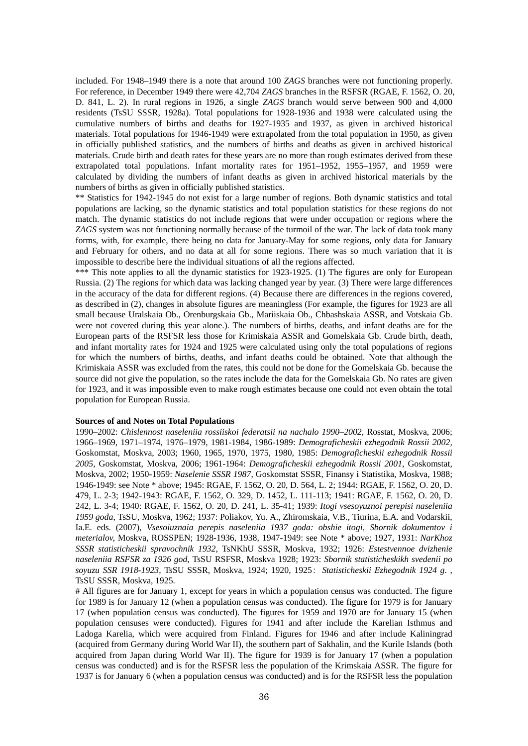included. For 1948–1949 there is a note that around 100 *ZAGS* branches were not functioning properly. For reference, in December 1949 there were 42,704 *ZAGS* branches in the RSFSR (RGAE, F. 1562, O. 20, D. 841, L. 2). In rural regions in 1926, a single *ZAGS* branch would serve between 900 and 4,000 residents (TsSU SSSR, 1928a). Total populations for 1928-1936 and 1938 were calculated using the cumulative numbers of births and deaths for 1927-1935 and 1937, as given in archived historical materials. Total populations for 1946-1949 were extrapolated from the total population in 1950, as given in officially published statistics, and the numbers of births and deaths as given in archived historical materials. Crude birth and death rates for these years are no more than rough estimates derived from these extrapolated total populations. Infant mortality rates for 1951–1952, 1955–1957, and 1959 were calculated by dividing the numbers of infant deaths as given in archived historical materials by the numbers of births as given in officially published statistics.

\*\* Statistics for 1942-1945 do not exist for a large number of regions. Both dynamic statistics and total populations are lacking, so the dynamic statistics and total population statistics for these regions do not match. The dynamic statistics do not include regions that were under occupation or regions where the *ZAGS* system was not functioning normally because of the turmoil of the war. The lack of data took many forms, with, for example, there being no data for January-May for some regions, only data for January and February for others, and no data at all for some regions. There was so much variation that it is impossible to describe here the individual situations of all the regions affected.

\*\*\* This note applies to all the dynamic statistics for 1923-1925. (1) The figures are only for European Russia. (2) The regions for which data was lacking changed year by year. (3) There were large differences in the accuracy of the data for different regions. (4) Because there are differences in the regions covered, as described in (2), changes in absolute figures are meaningless (For example, the figures for 1923 are all small because Uralskaia Ob., Orenburgskaia Gb., Mariiskaia Ob., Chbashskaia ASSR, and Votskaia Gb. were not covered during this year alone.). The numbers of births, deaths, and infant deaths are for the European parts of the RSFSR less those for Krimiskaia ASSR and Gomelskaia Gb. Crude birth, death, and infant mortality rates for 1924 and 1925 were calculated using only the total populations of regions for which the numbers of births, deaths, and infant deaths could be obtained. Note that although the Krimiskaia ASSR was excluded from the rates, this could not be done for the Gomelskaia Gb. because the source did not give the population, so the rates include the data for the Gomelskaia Gb. No rates are given for 1923, and it was impossible even to make rough estimates because one could not even obtain the total population for European Russia.

### **Sources of and Notes on Total Populations**

1990–2002: *Chislennost naseleniia rossiiskoi federatsii na nachalo 1990–2002*, Rosstat, Moskva, 2006; 1966–1969, 1971–1974, 1976–1979, 1981-1984, 1986-1989: *Demograficheskii ezhegodnik Rossii 2002,*  Goskomstat, Moskva, 2003; 1960, 1965, 1970, 1975, 1980, 1985: *Demograficheskii ezhegodnik Rossii 2005,* Goskomstat, Moskva, 2006; 1961-1964: *Demograficheskii ezhegodnik Rossii 2001*, Goskomstat, Moskva, 2002; 1950-1959: *Naselenie SSSR 1987*, Goskomstat SSSR, Finansy i Statistika, Moskva, 1988; 1946-1949: see Note \* above; 1945: RGAE, F. 1562, O. 20, D. 564, L. 2; 1944: RGAE, F. 1562, O. 20, D. 479, L. 2-3; 1942-1943: RGAE, F. 1562, O. 329, D. 1452, L. 111-113; 1941: RGAE, F. 1562, O. 20, D. 242, L. 3-4; 1940: RGAE, F. 1562, O. 20, D. 241, L. 35-41; 1939: *Itogi vsesoyuznoi perepisi naseleniia 1959 goda*, TsSU, Moskva, 1962; 1937: Poliakov, Yu. A., Zhiromskaia, V.B., Tiurina, E.A. and Vodarskii, Ia.E. eds. (2007), *Vsesoiuznaia perepis naseleniia 1937 goda: obshie itogi, Sbornik dokumentov i meterialov,* Moskva, ROSSPEN; 1928-1936, 1938, 1947-1949: see Note \* above; 1927, 1931: *NarKhoz SSSR statisticheskii spravochnik 1932*, TsNKhU SSSR, Moskva, 1932; 1926: *Estestvennoe dvizhenie naseleniia RSFSR za 1926 god*, TsSU RSFSR, Moskva 1928; 1923: *Sbornik statisticheskikh svedenii po soyuzu SSR 1918-1923*, TsSU SSSR, Moskva, 1924; 1920, 1925: *Statisticheskii Ezhegodnik 1924 g*. , TsSU SSSR, Moskva, 1925.

# All figures are for January 1, except for years in which a population census was conducted. The figure for 1989 is for January 12 (when a population census was conducted). The figure for 1979 is for January 17 (when population census was conducted). The figures for 1959 and 1970 are for January 15 (when population censuses were conducted). Figures for 1941 and after include the Karelian Isthmus and Ladoga Karelia, which were acquired from Finland. Figures for 1946 and after include Kaliningrad (acquired from Germany during World War II), the southern part of Sakhalin, and the Kurile Islands (both acquired from Japan during World War II). The figure for 1939 is for January 17 (when a population census was conducted) and is for the RSFSR less the population of the Krimskaia ASSR. The figure for 1937 is for January 6 (when a population census was conducted) and is for the RSFSR less the population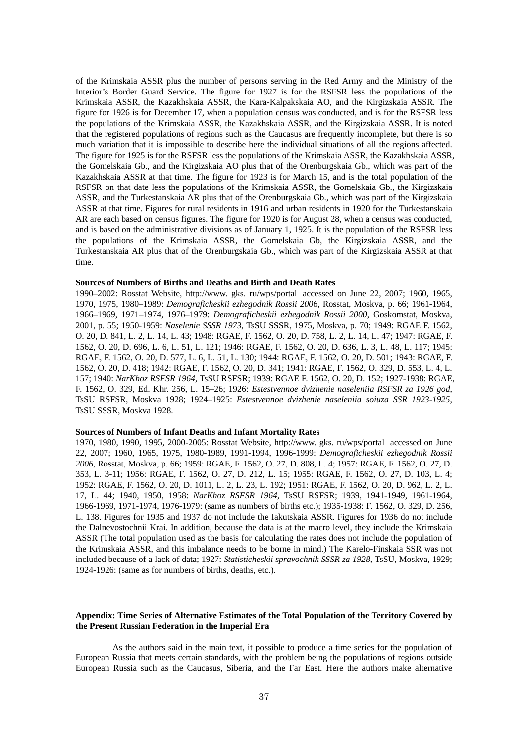of the Krimskaia ASSR plus the number of persons serving in the Red Army and the Ministry of the Interior's Border Guard Service. The figure for 1927 is for the RSFSR less the populations of the Krimskaia ASSR, the Kazakhskaia ASSR, the Kara-Kalpakskaia AO, and the Kirgizskaia ASSR. The figure for 1926 is for December 17, when a population census was conducted, and is for the RSFSR less the populations of the Krimskaia ASSR, the Kazakhskaia ASSR, and the Kirgizskaia ASSR. It is noted that the registered populations of regions such as the Caucasus are frequently incomplete, but there is so much variation that it is impossible to describe here the individual situations of all the regions affected. The figure for 1925 is for the RSFSR less the populations of the Krimskaia ASSR, the Kazakhskaia ASSR, the Gomelskaia Gb., and the Kirgizskaia AO plus that of the Orenburgskaia Gb., which was part of the Kazakhskaia ASSR at that time. The figure for 1923 is for March 15, and is the total population of the RSFSR on that date less the populations of the Krimskaia ASSR, the Gomelskaia Gb., the Kirgizskaia ASSR, and the Turkestanskaia AR plus that of the Orenburgskaia Gb., which was part of the Kirgizskaia ASSR at that time. Figures for rural residents in 1916 and urban residents in 1920 for the Turkestanskaia AR are each based on census figures. The figure for 1920 is for August 28, when a census was conducted, and is based on the administrative divisions as of January 1, 1925. It is the population of the RSFSR less the populations of the Krimskaia ASSR, the Gomelskaia Gb, the Kirgizskaia ASSR, and the Turkestanskaia AR plus that of the Orenburgskaia Gb., which was part of the Kirgizskaia ASSR at that time.

#### **Sources of Numbers of Births and Deaths and Birth and Death Rates**

1990–2002: Rosstat Website, http://www. gks. ru/wps/portal accessed on June 22, 2007; 1960, 1965, 1970, 1975, 1980–1989: *Demograficheskii ezhegodnik Rossii 2006*, Rosstat, Moskva, p. 66; 1961-1964, 1966–1969, 1971–1974, 1976–1979: *Demograficheskii ezhegodnik Rossii 2000*, Goskomstat, Moskva, 2001, p. 55; 1950-1959: *Naselenie SSSR 1973*, TsSU SSSR, 1975, Moskva, p. 70; 1949: RGAE F. 1562, O. 20, D. 841, L. 2, L. 14, L. 43; 1948: RGAE, F. 1562, O. 20, D. 758, L. 2, L. 14, L. 47; 1947: RGAE, F. 1562, O. 20, D. 696, L. 6, L. 51, L. 121; 1946: RGAE, F. 1562, O. 20, D. 636, L. 3, L. 48, L. 117; 1945: RGAE, F. 1562, O. 20, D. 577, L. 6, L. 51, L. 130; 1944: RGAE, F. 1562, O. 20, D. 501; 1943: RGAE, F. 1562, O. 20, D. 418; 1942: RGAE, F. 1562, O. 20, D. 341; 1941: RGAE, F. 1562, O. 329, D. 553, L. 4, L. 157; 1940: *NarKhoz RSFSR 1964*, TsSU RSFSR; 1939: RGAE F. 1562, O. 20, D. 152; 1927-1938: RGAE, F. 1562, O. 329, Ed. Khr. 256, L. 15–26; 1926: *Estestvennoe dvizhenie naseleniia RSFSR za 1926 god*, TsSU RSFSR, Moskva 1928; 1924–1925: *Estestvennoe dvizhenie naseleniia soiuza SSR 1923-1925*, TsSU SSSR, Moskva 1928.

#### **Sources of Numbers of Infant Deaths and Infant Mortality Rates**

1970, 1980, 1990, 1995, 2000-2005: Rosstat Website, http://www. gks. ru/wps/portal accessed on June 22, 2007; 1960, 1965, 1975, 1980-1989, 1991-1994, 1996-1999: *Demograficheskii ezhegodnik Rossii 2006*, Rosstat, Moskva, p. 66; 1959: RGAE, F. 1562, O. 27, D. 808, L. 4; 1957: RGAE, F. 1562, O. 27, D. 353, L. 3-11; 1956: RGAE, F. 1562, O. 27, D. 212, L. 15; 1955: RGAE, F. 1562, O. 27, D. 103, L. 4; 1952: RGAE, F. 1562, O. 20, D. 1011, L. 2, L. 23, L. 192; 1951: RGAE, F. 1562, O. 20, D. 962, L. 2, L. 17, L. 44; 1940, 1950, 1958: *NarKhoz RSFSR 1964*, TsSU RSFSR; 1939, 1941-1949, 1961-1964, 1966-1969, 1971-1974, 1976-1979: (same as numbers of births etc.); 1935-1938: F. 1562, O. 329, D. 256, L. 138. Figures for 1935 and 1937 do not include the Iakutskaia ASSR. Figures for 1936 do not include the Dalnevostochnii Krai. In addition, because the data is at the macro level, they include the Krimskaia ASSR (The total population used as the basis for calculating the rates does not include the population of the Krimskaia ASSR, and this imbalance needs to be borne in mind.) The Karelo-Finskaia SSR was not included because of a lack of data; 1927: *Statisticheskii spravochnik SSSR za 1928*, TsSU, Moskva, 1929; 1924-1926: (same as for numbers of births, deaths, etc.).

#### **Appendix: Time Series of Alternative Estimates of the Total Population of the Territory Covered by the Present Russian Federation in the Imperial Era**

As the authors said in the main text, it possible to produce a time series for the population of European Russia that meets certain standards, with the problem being the populations of regions outside European Russia such as the Caucasus, Siberia, and the Far East. Here the authors make alternative